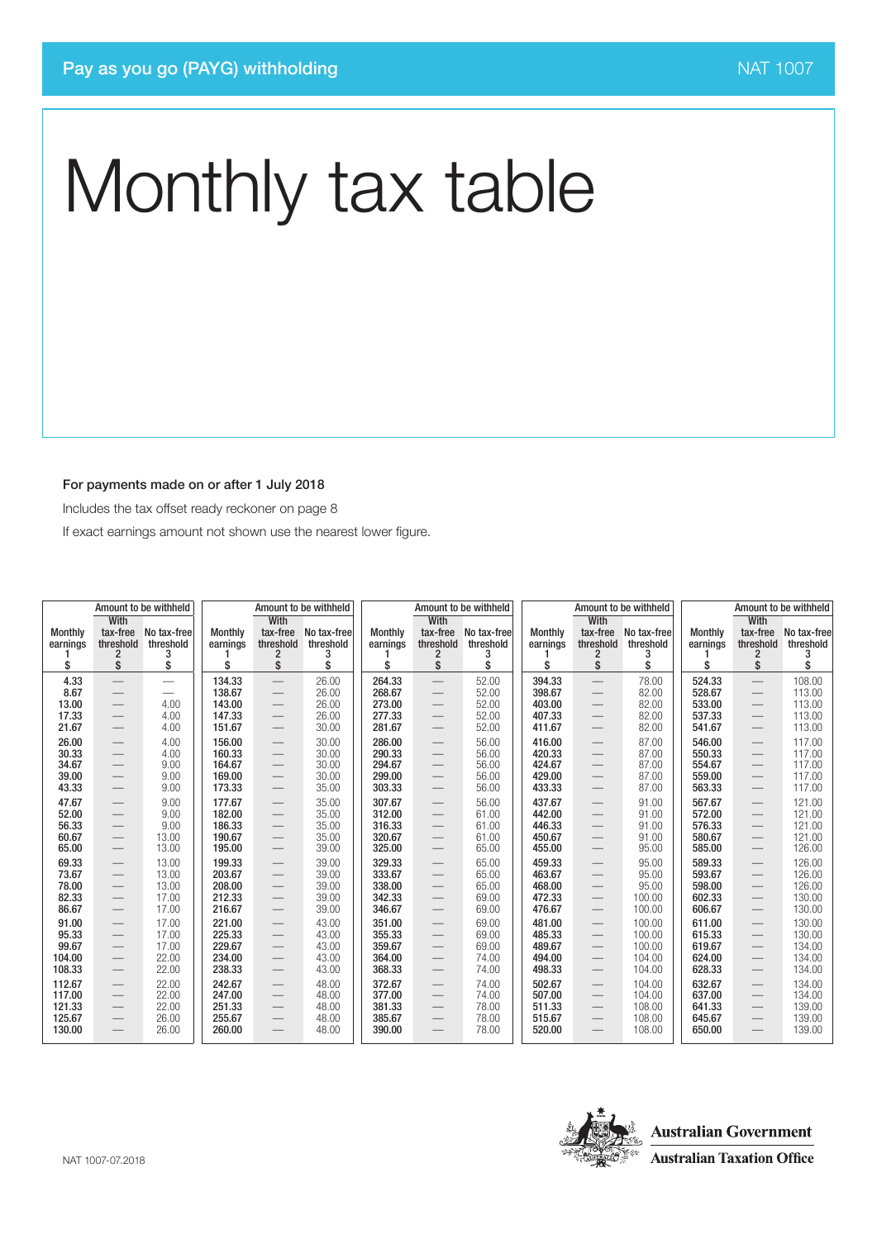#### For payments made on or after 1 July 2018

Includes the tax offset ready reckoner on page 8

If exact earnings amount not shown use the nearest lower figure.

|                | Amount to be withheld<br>Amount to be withheld              |                   |                  |                                                      |                |                  |                                 | Amount to be withheld |                  |                                 | Amount to be withheld | Amount to be withheld |                                 |                  |
|----------------|-------------------------------------------------------------|-------------------|------------------|------------------------------------------------------|----------------|------------------|---------------------------------|-----------------------|------------------|---------------------------------|-----------------------|-----------------------|---------------------------------|------------------|
| Monthly        | With<br>tax-free                                            | No tax-free       | <b>Monthly</b>   | <b>With</b><br>tax-free                              | No tax-free    | <b>Monthly</b>   | With<br>tax-free                | No tax-free           | <b>Monthly</b>   | With<br>tax-free                | No tax-free           | <b>Monthly</b>        | With<br>tax-free                | No tax-free      |
| earnings       | threshold<br>2                                              | threshold<br>3    | earnings         | threshold<br>2                                       | threshold<br>3 | earnings         | threshold<br>2                  | threshold<br>3        | earnings         | threshold<br>2                  | threshold<br>3        | earnings              | threshold<br>2                  | threshold<br>з   |
| \$             | \$                                                          | \$                | \$               | \$                                                   | \$             | \$               | \$                              | \$                    | \$               | \$                              | \$                    | \$                    | \$                              | \$               |
| 4.33           |                                                             |                   | 134.33           |                                                      | 26.00          | 264.33           |                                 | 52.00                 | 394.33           |                                 | 78.00                 | 524.33                |                                 | 108.00           |
| 8.67           | $\overline{\phantom{0}}$                                    | $\hspace{0.05cm}$ | 138.67           | $\qquad \qquad -$                                    | 26.00          | 268.67           | $\overline{\phantom{0}}$        | 52.00                 | 398.67           | $\qquad \qquad -$               | 82.00                 | 528.67                |                                 | 113.00           |
| 13.00          |                                                             | 4.00              | 143.00           |                                                      | 26.00          | 273.00           |                                 | 52.00                 | 403.00           |                                 | 82.00                 | 533.00                |                                 | 113.00           |
| 17.33          | $\overbrace{\phantom{13333}}$                               | 4.00              | 147.33           |                                                      | 26.00          | 277.33           | $\overbrace{\phantom{12333}}$   | 52.00                 | 407.33           | $\qquad \qquad$                 | 82.00                 | 537.33                | $\hspace{0.1mm}-\hspace{0.1mm}$ | 113.00           |
| 21.67          | $\hspace{0.1mm}-\hspace{0.1mm}$                             | 4.00              | 151.67           | $\hspace{0.1mm}-\hspace{0.1mm}$                      | 30.00          | 281.67           |                                 | 52.00                 | 411.67           |                                 | 82.00                 | 541.67                | $\overline{\phantom{0}}$        | 113.00           |
| 26.00          |                                                             | 4.00              | 156.00           | $\qquad \qquad -$                                    | 30.00          | 286.00           |                                 | 56.00                 | 416.00           |                                 | 87.00                 | 546.00                |                                 | 117.00           |
| 30.33          |                                                             | 4.00              | 160.33           |                                                      | 30.00          | 290.33           |                                 | 56.00                 | 420.33           |                                 | 87.00                 | 550.33                |                                 | 117.00           |
| 34.67          | $\overline{\phantom{m}}$                                    | 9.00              | 164.67           | $\overline{\phantom{m}}$                             | 30.00          | 294.67           |                                 | 56.00                 | 424.67           |                                 | 87.00                 | 554.67                | $\hspace{0.1mm}-\hspace{0.1mm}$ | 117.00           |
| 39.00<br>43.33 | $\hspace{0.1mm}-\hspace{0.1mm}$                             | 9.00<br>9.00      | 169.00<br>173.33 | $\overbrace{\phantom{12322111}}$                     | 30.00<br>35.00 | 299.00<br>303.33 |                                 | 56.00<br>56.00        | 429.00<br>433.33 |                                 | 87.00<br>87.00        | 559.00<br>563.33      | $\qquad \qquad -$               | 117.00<br>117.00 |
|                |                                                             |                   |                  |                                                      |                |                  |                                 |                       |                  |                                 |                       |                       |                                 |                  |
| 47.67<br>52.00 | $\hspace{0.1mm}-\hspace{0.1mm}$<br>$\overline{\phantom{0}}$ | 9.00<br>9.00      | 177.67<br>182.00 | $\qquad \qquad -$                                    | 35.00<br>35.00 | 307.67<br>312.00 |                                 | 56.00<br>61.00        | 437.67<br>442.00 | $\hspace{0.1mm}-\hspace{0.1mm}$ | 91.00<br>91.00        | 567.67<br>572.00      | $\hspace{0.1mm}-\hspace{0.1mm}$ | 121.00<br>121.00 |
| 56.33          | $\overline{\phantom{m}}$                                    | 9.00              | 186.33           | $\overbrace{\phantom{12333}}$                        | 35.00          | 316.33           |                                 | 61.00                 | 446.33           |                                 | 91.00                 | 576.33                | $\qquad \qquad$                 | 121.00           |
| 60.67          | $\overline{\phantom{m}}$                                    | 13.00             | 190.67           | $\qquad \qquad -$<br>$\hspace{0.1mm}-\hspace{0.1mm}$ | 35.00          | 320.67           |                                 | 61.00                 | 450.67           | $\hspace{0.1mm}-\hspace{0.1mm}$ | 91.00                 | 580.67                | $\qquad \qquad$                 | 121.00           |
| 65.00          | $\hspace{0.1mm}-\hspace{0.1mm}$                             | 13.00             | 195.00           | $\hspace{0.1mm}-\hspace{0.1mm}$                      | 39.00          | 325.00           |                                 | 65.00                 | 455.00           |                                 | 95.00                 | 585.00                | $\hspace{0.1mm}-\hspace{0.1mm}$ | 126.00           |
| 69.33          | $\hspace{0.1mm}-\hspace{0.1mm}$                             | 13.00             | 199.33           | $\hspace{0.1mm}-\hspace{0.1mm}$                      | 39.00          | 329.33           |                                 | 65.00                 | 459.33           | $\hspace{0.1mm}-\hspace{0.1mm}$ | 95.00                 | 589.33                | $\qquad \qquad$                 | 126.00           |
| 73.67          |                                                             | 13.00             | 203.67           |                                                      | 39.00          | 333.67           |                                 | 65.00                 | 463.67           |                                 | 95.00                 | 593.67                |                                 | 126.00           |
| 78.00          |                                                             | 13.00             | 208.00           | $\overbrace{\phantom{12322111}}$                     | 39.00          | 338.00           |                                 | 65.00                 | 468.00           |                                 | 95.00                 | 598.00                |                                 | 126.00           |
| 82.33          | $\hspace{0.1mm}-\hspace{0.1mm}$                             | 17.00             | 212.33           | $\overbrace{\phantom{13333}}$                        | 39.00          | 342.33           | $\overbrace{\phantom{12333}}$   | 69.00                 | 472.33           | $\qquad \qquad -$               | 100.00                | 602.33                | $\hspace{0.1mm}-\hspace{0.1mm}$ | 130.00           |
| 86.67          | $\hspace{0.1mm}-\hspace{0.1mm}$                             | 17.00             | 216.67           |                                                      | 39.00          | 346.67           |                                 | 69.00                 | 476.67           |                                 | 100.00                | 606.67                | $\overline{\phantom{0}}$        | 130.00           |
| 91.00          | $\hspace{0.1mm}-\hspace{0.1mm}$                             | 17.00             | 221.00           | $\hspace{0.1mm}-\hspace{0.1mm}$                      | 43.00          | 351.00           | $\overbrace{\phantom{12333}}$   | 69.00                 | 481.00           | $\hspace{0.1mm}-\hspace{0.1mm}$ | 100.00                | 611.00                | $\overline{\phantom{0}}$        | 130.00           |
| 95.33          | $\overline{\phantom{m}}$                                    | 17.00             | 225.33           |                                                      | 43.00          | 355.33           |                                 | 69.00                 | 485.33           |                                 | 100.00                | 615.33                | $\qquad \qquad$                 | 130.00           |
| 99.67          | $\hspace{0.1mm}-\hspace{0.1mm}$                             | 17.00             | 229.67           | $\qquad \qquad -$                                    | 43.00          | 359.67           |                                 | 69.00                 | 489.67           |                                 | 100.00                | 619.67                |                                 | 134.00           |
| 104.00         | $\overbrace{\phantom{13333}}$                               | 22.00             | 234.00           |                                                      | 43.00          | 364.00           | $\overbrace{\phantom{12333}}$   | 74.00                 | 494.00           |                                 | 104.00                | 624.00                | $\hspace{0.1mm}-\hspace{0.1mm}$ | 134.00           |
| 108.33         | $\hspace{0.1mm}-\hspace{0.1mm}$                             | 22.00             | 238.33           | $\hspace{0.1mm}-\hspace{0.1mm}$                      | 43.00          | 368.33           | $\hspace{0.1mm}-\hspace{0.1mm}$ | 74.00                 | 498.33           | $\hspace{0.1mm}-\hspace{0.1mm}$ | 104.00                | 628.33                | $\qquad \qquad -$               | 134.00           |
| 112.67         | $\overline{\phantom{m}}$                                    | 22.00             | 242.67           | $\overbrace{\phantom{12322111}}$                     | 48.00          | 372.67           |                                 | 74.00                 | 502.67           | $\hspace{0.1mm}-\hspace{0.1mm}$ | 104.00                | 632.67                | $\qquad \qquad$                 | 134.00           |
| 117.00         |                                                             | 22.00             | 247.00           | $\hspace{0.1mm}-\hspace{0.1mm}$                      | 48.00          | 377.00           | $\overbrace{\phantom{12333}}$   | 74.00                 | 507.00           | $\hspace{0.1mm}-\hspace{0.1mm}$ | 104.00                | 637.00                | $\hspace{0.1mm}-\hspace{0.1mm}$ | 134.00           |
| 121.33         |                                                             | 22.00             | 251.33           |                                                      | 48.00          | 381.33           | $\overbrace{\phantom{12333}}$   | 78.00                 | 511.33           |                                 | 108.00                | 641.33                | $\hspace{0.1mm}-\hspace{0.1mm}$ | 139.00           |
| 125.67         | $\hspace{0.1mm}-\hspace{0.1mm}$                             | 26.00             | 255.67           | $\qquad \qquad -$                                    | 48.00          | 385.67           | $\overbrace{\phantom{12333}}$   | 78.00                 | 515.67           | $\qquad \qquad$                 | 108.00                | 645.67                | $\hspace{0.1mm}-\hspace{0.1mm}$ | 139.00           |
| 130.00         | $\overbrace{\phantom{13333}}$                               | 26.00             | 260.00           | $\qquad \qquad -$                                    | 48.00          | 390.00           | $\overbrace{\phantom{12333}}$   | 78.00                 | 520.00           |                                 | 108.00                | 650.00                | $\hspace{0.1mm}-\hspace{0.1mm}$ | 139.00           |
|                |                                                             |                   |                  |                                                      |                |                  |                                 |                       |                  |                                 |                       |                       |                                 |                  |

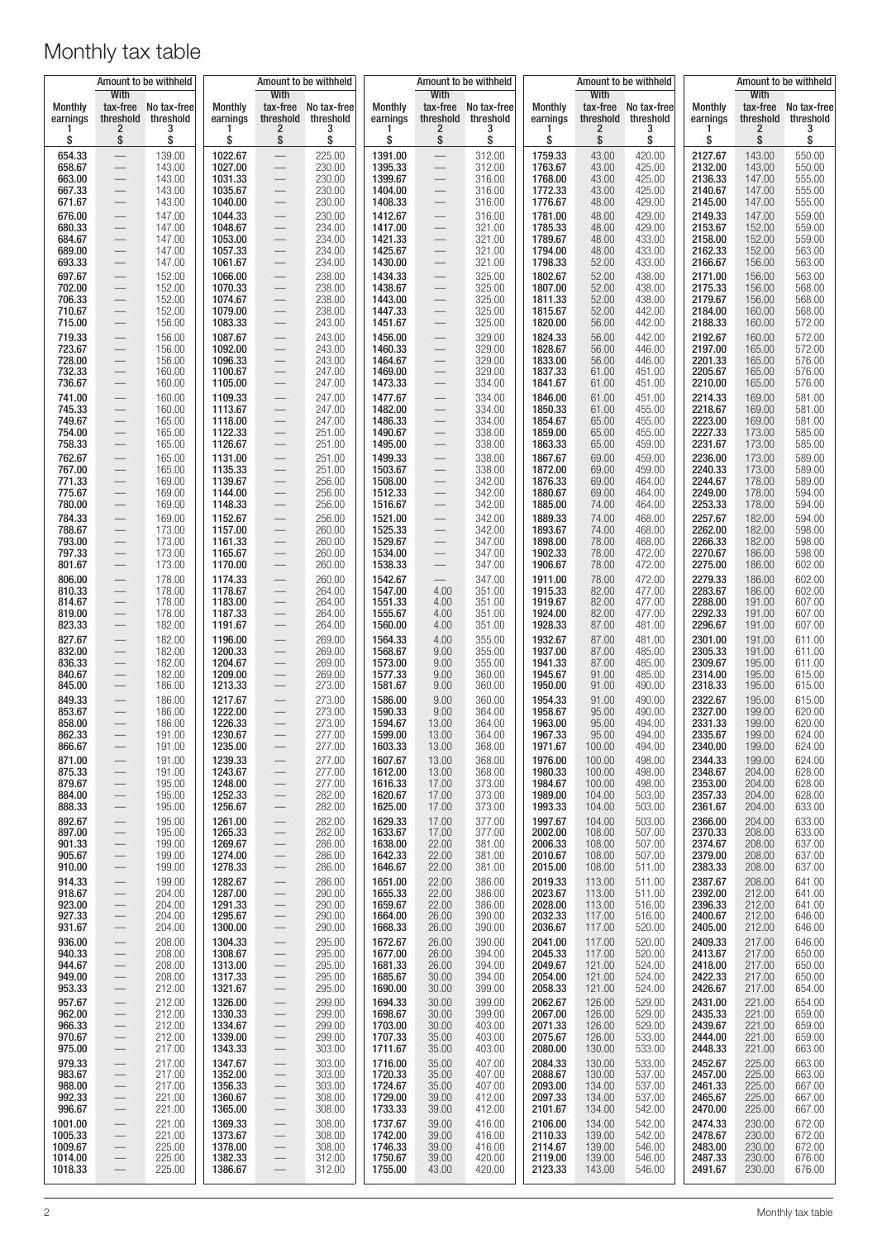| Amount to be withheld<br>With |                                                      | Amount to be withheld<br>With |                    |                                                      | Amount to be withheld<br>With |                    |                                                      |                      |                    | Amount to be withheld       | Amount to be withheld<br><b>With</b> |                    |                  |                  |
|-------------------------------|------------------------------------------------------|-------------------------------|--------------------|------------------------------------------------------|-------------------------------|--------------------|------------------------------------------------------|----------------------|--------------------|-----------------------------|--------------------------------------|--------------------|------------------|------------------|
| <b>Monthly</b>                | tax-free                                             | No tax-free                   | <b>Monthly</b>     |                                                      | tax-free No tax-free          | Monthly            |                                                      | tax-free No tax-free | Monthly            | With                        | tax-free No tax-free                 | Monthly            | tax-free         | No tax-free      |
| earnings                      | threshold<br>2                                       | threshold<br>3                | earnings<br>ı      | threshold<br>2                                       | threshold<br>3                | earnings           | threshold<br>$\overline{2}$                          | threshold<br>3       | earnings           | threshold<br>$\overline{2}$ | threshold<br>3                       | earnings           | threshold<br>2   | threshold<br>3   |
| \$                            | \$                                                   | \$                            | \$                 | \$                                                   | \$                            | \$                 | \$                                                   | \$                   | \$                 | \$                          | \$                                   | \$                 | \$               | \$               |
| 654.33<br>658.67              | $\equiv$                                             | 139.00<br>143.00              | 1022.67<br>1027.00 | $\overline{\phantom{0}}$<br>$\qquad \qquad -$        | 225.00<br>230.00              | 1391.00<br>1395.33 | $\overline{\phantom{0}}$<br>$\overline{\phantom{0}}$ | 312.00<br>312.00     | 1759.33<br>1763.67 | 43.00<br>43.00              | 420.00<br>425.00                     | 2127.67<br>2132.00 | 143.00<br>143.00 | 550.00<br>550.00 |
| 663.00<br>667.33              |                                                      | 143.00<br>143.00              | 1031.33<br>1035.67 | $\overline{\phantom{m}}$                             | 230.00<br>230.00              | 1399.67<br>1404.00 | $\overline{\phantom{0}}$                             | 316.00<br>316.00     | 1768.00<br>1772.33 | 43.00<br>43.00              | 425.00<br>425.00                     | 2136.33<br>2140.67 | 147.00<br>147.00 | 555.00<br>555.00 |
| 671.67                        |                                                      | 143.00                        | 1040.00            |                                                      | 230.00                        | 1408.33            |                                                      | 316.00               | 1776.67            | 48.00                       | 429.00                               | 2145.00            | 147.00           | 555.00           |
| 676.00                        |                                                      | 147.00                        | 1044.33<br>1048.67 | $\overline{\phantom{m}}$                             | 230.00                        | 1412.67            |                                                      | 316.00<br>321.00     | 1781.00            | 48.00<br>48.00              | 429.00                               | 2149.33            | 147.00           | 559.00           |
| 680.33<br>684.67              | $\overline{\phantom{0}}$                             | 147.00<br>147.00              | 1053.00            | $\overline{\phantom{0}}$<br>$\overline{\phantom{0}}$ | 234.00<br>234.00              | 1417.00<br>1421.33 | $\overline{\phantom{0}}$                             | 321.00               | 1785.33<br>1789.67 | 48.00                       | 429.00<br>433.00                     | 2153.67<br>2158.00 | 152.00<br>152.00 | 559.00<br>559.00 |
| 689.00<br>693.33              |                                                      | 147.00<br>147.00              | 1057.33<br>1061.67 | $\overline{\phantom{0}}$<br>$\qquad \qquad -$        | 234.00<br>234.00              | 1425.67<br>1430.00 | $\overline{\phantom{0}}$                             | 321.00<br>321.00     | 1794.00<br>1798.33 | 48.00<br>52.00              | 433.00<br>433.00                     | 2162.33<br>2166.67 | 152.00<br>156.00 | 563.00<br>563.00 |
| 697.67                        |                                                      | 152.00                        | 1066.00            |                                                      | 238.00                        | 1434.33            | $\overline{\phantom{0}}$                             | 325.00               | 1802.67            | 52.00                       | 438.00                               | 2171.00            | 156.00           | 563.00           |
| 702.00<br>706.33              |                                                      | 152.00<br>152.00              | 1070.33<br>1074.67 | $\qquad \qquad -$                                    | 238.00<br>238.00              | 1438.67<br>1443.00 |                                                      | 325.00<br>325.00     | 1807.00<br>1811.33 | 52.00<br>52.00              | 438.00<br>438.00                     | 2175.33<br>2179.67 | 156.00<br>156.00 | 568.00<br>568.00 |
| 710.67                        |                                                      | 152.00                        | 1079.00            |                                                      | 238.00                        | 1447.33            |                                                      | 325.00               | 1815.67            | 52.00                       | 442.00                               | 2184.00            | 160.00           | 568.00           |
| 715.00<br>719.33              | $\qquad \qquad -$                                    | 156.00<br>156.00              | 1083.33<br>1087.67 | $\overline{\phantom{0}}$                             | 243.00<br>243.00              | 1451.67<br>1456.00 | $\overline{\phantom{m}}$                             | 325.00<br>329.00     | 1820.00<br>1824.33 | 56.00<br>56.00              | 442.00<br>442.00                     | 2188.33<br>2192.67 | 160.00<br>160.00 | 572.00<br>572.00 |
| 723.67                        | $\qquad \qquad -$                                    | 156.00                        | 1092.00            | $\overline{\phantom{0}}$                             | 243.00                        | 1460.33            | $\hspace{0.1mm}-\hspace{0.1mm}$                      | 329.00               | 1828.67            | 56.00                       | 446.00                               | 2197.00            | 165.00           | 572.00           |
| 728.00<br>732.33              | $\qquad \qquad -$                                    | 156.00<br>160.00              | 1096.33<br>1100.67 | $\overline{\phantom{0}}$                             | 243.00<br>247.00              | 1464.67<br>1469.00 | $\Leftarrow$<br>$\overline{\phantom{0}}$             | 329.00<br>329.00     | 1833.00<br>1837.33 | 56.00<br>61.00              | 446.00<br>451.00                     | 2201.33<br>2205.67 | 165.00<br>165.00 | 576.00<br>576.00 |
| 736.67                        |                                                      | 160.00                        | 1105.00            | $\overline{\phantom{m}}$                             | 247.00                        | 1473.33            | $\overline{\phantom{0}}$                             | 334.00               | 1841.67            | 61.00                       | 451.00                               | 2210.00            | 165.00           | 576.00           |
| 741.00<br>745.33              | $\qquad \qquad -$                                    | 160.00<br>160.00              | 1109.33<br>1113.67 | $\overline{\phantom{0}}$                             | 247.00<br>247.00              | 1477.67<br>1482.00 | $\overline{\phantom{0}}$                             | 334.00<br>334.00     | 1846.00<br>1850.33 | 61.00<br>61.00              | 451.00<br>455.00                     | 2214.33<br>2218.67 | 169.00<br>169.00 | 581.00<br>581.00 |
| 749.67                        |                                                      | 165.00                        | 1118.00            | $\qquad \qquad -$                                    | 247.00                        | 1486.33            |                                                      | 334.00               | 1854.67            | 65.00                       | 455.00                               | 2223.00            | 169.00           | 581.00           |
| 754.00<br>758.33              |                                                      | 165.00<br>165.00              | 1122.33<br>1126.67 | $\qquad \qquad -$                                    | 251.00<br>251.00              | 1490.67<br>1495.00 | $\overline{\phantom{0}}$                             | 338.00<br>338.00     | 1859.00<br>1863.33 | 65.00<br>65.00              | 455.00<br>459.00                     | 2227.33<br>2231.67 | 173.00<br>173.00 | 585.00<br>585.00 |
| 762.67                        |                                                      | 165.00                        | 1131.00            | $\qquad \qquad -$                                    | 251.00                        | 1499.33            | $\overline{\phantom{0}}$                             | 338.00               | 1867.67            | 69.00                       | 459.00                               | 2236.00            | 173.00           | 589.00           |
| 767.00<br>771.33              |                                                      | 165.00<br>169.00              | 1135.33<br>1139.67 | $\overline{\phantom{m}}$                             | 251.00<br>256.00              | 1503.67<br>1508.00 | $\overline{\phantom{0}}$                             | 338.00<br>342.00     | 1872.00<br>1876.33 | 69.00<br>69.00              | 459.00<br>464.00                     | 2240.33<br>2244.67 | 173.00<br>178.00 | 589.00<br>589.00 |
| 775.67                        | $\overline{\phantom{0}}$                             | 169.00                        | 1144.00            | $\overline{\phantom{0}}$                             | 256.00                        | 1512.33            | $\overline{\phantom{m}}$                             | 342.00               | 1880.67            | 69.00                       | 464.00                               | 2249.00            | 178.00           | 594.00           |
| 780.00<br>784.33              | $\overline{\phantom{0}}$                             | 169.00<br>169.00              | 1148.33<br>1152.67 | $\qquad \qquad -$                                    | 256.00<br>256.00              | 1516.67<br>1521.00 | $\overline{\phantom{0}}$                             | 342.00<br>342.00     | 1885.00<br>1889.33 | 74.00<br>74.00              | 464.00<br>468.00                     | 2253.33<br>2257.67 | 178.00<br>182.00 | 594.00<br>594.00 |
| 788.67                        | $\qquad \qquad -$                                    | 173.00                        | 1157.00            |                                                      | 260.00                        | 1525.33            |                                                      | 342.00               | 1893.67            | 74.00                       | 468.00                               | 2262.00            | 182.00           | 598.00           |
| 793.00<br>797.33              |                                                      | 173.00<br>173.00              | 1161.33<br>1165.67 | $\overline{\phantom{0}}$                             | 260.00<br>260.00              | 1529.67<br>1534.00 | $\overline{\phantom{0}}$                             | 347.00<br>347.00     | 1898.00<br>1902.33 | 78.00<br>78.00              | 468.00<br>472.00                     | 2266.33<br>2270.67 | 182.00<br>186.00 | 598.00<br>598.00 |
| 801.67                        | $\overline{\phantom{0}}$                             | 173.00                        | 1170.00            | $\qquad \qquad -$                                    | 260.00                        | 1538.33            | $\overline{\phantom{0}}$                             | 347.00               | 1906.67            | 78.00                       | 472.00                               | 2275.00            | 186.00           | 602.00           |
| 806.00<br>810.33              | $\overline{\phantom{0}}$                             | 178.00<br>178.00              | 1174.33<br>1178.67 | $\qquad \qquad -$                                    | 260.00<br>264.00              | 1542.67<br>1547.00 | 4.00                                                 | 347.00<br>351.00     | 1911.00<br>1915.33 | 78.00<br>82.00              | 472.00<br>477.00                     | 2279.33<br>2283.67 | 186.00<br>186.00 | 602.00<br>602.00 |
| 814.67                        |                                                      | 178.00<br>178.00              | 1183.00<br>1187.33 |                                                      | 264.00<br>264.00              | 1551.33<br>1555.67 | 4.00<br>4.00                                         | 351.00<br>351.00     | 1919.67<br>1924.00 | 82.00                       | 477.00<br>477.00                     | 2288.00            | 191.00<br>191.00 | 607.00           |
| 819.00<br>823.33              | $\overline{\phantom{0}}$<br>$\overline{\phantom{0}}$ | 182.00                        | 1191.67            | $\overline{\phantom{m}}$                             | 264.00                        | 1560.00            | 4.00                                                 | 351.00               | 1928.33            | 82.00<br>87.00              | 481.00                               | 2292.33<br>2296.67 | 191.00           | 607.00<br>607.00 |
| 827.67<br>832.00              |                                                      | 182.00<br>182.00              | 1196.00<br>1200.33 | $\overbrace{\phantom{123221111}}$                    | 269.00<br>269.00              | 1564.33<br>1568.67 | 4.00<br>9.00                                         | 355.00<br>355.00     | 1932.67<br>1937.00 | 87.00<br>87.00              | 481.00<br>485.00                     | 2301.00<br>2305.33 | 191.00<br>191.00 | 611.00<br>611.00 |
| 836.33                        |                                                      | 182.00                        | 1204.67            | $\overline{\phantom{0}}$<br>$\qquad \qquad -$        | 269.00                        | 1573.00            | 9.00                                                 | 355.00               | 1941.33            | 87.00                       | 485.00                               | 2309.67            | 195.00           | 611.00           |
| 840.67<br>845.00              |                                                      | 182.00<br>186.00              | 1209.00<br>1213.33 | $\qquad \qquad -$                                    | 269.00<br>273.00              | 1577.33<br>1581.67 | 9.00<br>9.00                                         | 360.00<br>360.00     | 1945.67<br>1950.00 | 91.00<br>91.00              | 485.00<br>490.00                     | 2314.00<br>2318.33 | 195.00<br>195.00 | 615.00<br>615.00 |
| 849.33                        |                                                      | 186.00                        | 1217.67            |                                                      | 273.00                        | 1586.00            | 9.00                                                 | 360.00               | 1954.33            | 91.00                       | 490.00                               | 2322.67            | 195.00           | 615.00           |
| 853.67<br>858.00              | —                                                    | 186.00<br>186.00              | 1222.00<br>1226.33 | $\overline{\phantom{0}}$                             | 273.00<br>273.00              | 1590.33<br>1594.67 | 9.00<br>13.00                                        | 364.00<br>364.00     | 1958.67<br>1963.00 | 95.00<br>95.00              | 490.00<br>494.00                     | 2327.00<br>2331.33 | 199.00<br>199.00 | 620.00<br>620.00 |
| 862.33                        |                                                      | 191.00                        | 1230.67            |                                                      | 277.00                        | 1599.00            | 13.00                                                | 364.00               | 1967.33            | 95.00                       | 494.00                               | 2335.67            | 199.00           | 624.00           |
| 866.67<br>871.00              | $\overline{\phantom{m}}$                             | 191.00<br>191.00              | 1235.00<br>1239.33 | $\qquad \qquad -$<br>$\qquad \qquad -$               | 277.00<br>277.00              | 1603.33<br>1607.67 | 13.00<br>13.00                                       | 368.00<br>368.00     | 1971.67<br>1976.00 | 100.00<br>100.00            | 494.00<br>498.00                     | 2340.00<br>2344.33 | 199.00<br>199.00 | 624.00<br>624.00 |
| 875.33                        |                                                      | 191.00                        | 1243.67            | $\qquad \qquad -$                                    | 277.00                        | 1612.00            | 13.00                                                | 368.00               | 1980.33            | 100.00                      | 498.00                               | 2348.67            | 204.00           | 628.00           |
| 879.67<br>884.00              | $\overline{\phantom{0}}$                             | 195.00<br>195.00              | 1248.00<br>1252.33 | $\qquad \qquad -$                                    | 277.00<br>282.00              | 1616.33<br>1620.67 | 17.00<br>17.00                                       | 373.00<br>373.00     | 1984.67<br>1989.00 | 100.00<br>104.00            | 498.00<br>503.00                     | 2353.00<br>2357.33 | 204.00<br>204.00 | 628.00<br>628.00 |
| 888.33                        |                                                      | 195.00                        | 1256.67            | $\qquad \qquad -$                                    | 282.00                        | 1625.00            | 17.00                                                | 373.00               | 1993.33            | 104.00                      | 503.00                               | 2361.67            | 204.00           | 633.00           |
| 892.67<br>897.00              | $\qquad \qquad -$                                    | 195.00<br>195.00              | 1261.00<br>1265.33 | $\qquad \qquad -$                                    | 282.00<br>282.00              | 1629.33<br>1633.67 | 17.00<br>17.00                                       | 377.00<br>377.00     | 1997.67<br>2002.00 | 104.00<br>108.00            | 503.00<br>507.00                     | 2366.00<br>2370.33 | 204.00<br>208.00 | 633.00<br>633.00 |
| 901.33<br>905.67              | $\overline{\phantom{0}}$<br>$\overline{\phantom{0}}$ | 199.00<br>199.00              | 1269.67<br>1274.00 | $\qquad \qquad -$                                    | 286.00<br>286.00              | 1638.00<br>1642.33 | 22.00<br>22.00                                       | 381.00<br>381.00     | 2006.33<br>2010.67 | 108.00<br>108.00            | 507.00<br>507.00                     | 2374.67<br>2379.00 | 208.00<br>208.00 | 637.00<br>637.00 |
| 910.00                        |                                                      | 199.00                        | 1278.33            | $\qquad \qquad -$<br>$\qquad \qquad -$               | 286.00                        | 1646.67            | 22.00                                                | 381.00               | 2015.00            | 108.00                      | 511.00                               | 2383.33            | 208.00           | 637.00           |
| 914.33<br>918.67              | $\overline{\phantom{0}}$                             | 199.00<br>204.00              | 1282.67<br>1287.00 | $\qquad \qquad -$                                    | 286.00                        | 1651.00<br>1655.33 | 22.00<br>22.00                                       | 386.00<br>386.00     | 2019.33<br>2023.67 | 113.00<br>113.00            | 511.00                               | 2387.67<br>2392.00 | 208.00<br>212.00 | 641.00           |
| 923.00                        | $\qquad \qquad -$<br>$\qquad \qquad -$               | 204.00                        | 1291.33            | $\qquad \qquad -$<br>$\qquad \qquad -$               | 290.00<br>290.00              | 1659.67            | 22.00                                                | 386.00               | 2028.00            | 113.00                      | 511.00<br>516.00                     | 2396.33            | 212.00           | 641.00<br>641.00 |
| 927.33<br>931.67              | $\overline{\phantom{0}}$<br>$\overline{\phantom{0}}$ | 204.00<br>204.00              | 1295.67<br>1300.00 | $\overline{\phantom{0}}$<br>$\overline{\phantom{0}}$ | 290.00<br>290.00              | 1664.00<br>1668.33 | 26.00<br>26.00                                       | 390.00<br>390.00     | 2032.33<br>2036.67 | 117.00<br>117.00            | 516.00<br>520.00                     | 2400.67<br>2405.00 | 212.00<br>212.00 | 646.00<br>646.00 |
| 936.00                        | $\overline{\phantom{0}}$                             | 208.00                        | 1304.33            | $\overline{\phantom{0}}$                             | 295.00                        | 1672.67            | 26.00                                                | 390.00               | 2041.00            | 117.00                      | 520.00                               | 2409.33            | 217.00           | 646.00           |
| 940.33<br>944.67              | $\overline{\phantom{0}}$<br>$\overline{\phantom{0}}$ | 208.00<br>208.00              | 1308.67<br>1313.00 | $\qquad \qquad -$<br>$\qquad \qquad -$               | 295.00<br>295.00              | 1677.00<br>1681.33 | 26.00<br>26.00                                       | 394.00<br>394.00     | 2045.33<br>2049.67 | 117.00<br>121.00            | 520.00<br>524.00                     | 2413.67<br>2418.00 | 217.00<br>217.00 | 650.00<br>650.00 |
| 949.00                        | $\equiv$                                             | 208.00                        | 1317.33            | $\qquad \qquad -$                                    | 295.00                        | 1685.67            | 30.00                                                | 394.00               | 2054.00            | 121.00                      | 524.00                               | 2422.33            | 217.00           | 650.00           |
| 953.33<br>957.67              | $\overline{\phantom{0}}$                             | 212.00<br>212.00              | 1321.67<br>1326.00 | $\qquad \qquad -$<br>$\qquad \qquad -$               | 295.00<br>299.00              | 1690.00<br>1694.33 | 30.00<br>30.00                                       | 399.00<br>399.00     | 2058.33<br>2062.67 | 121.00<br>126.00            | 524.00<br>529.00                     | 2426.67<br>2431.00 | 217.00<br>221.00 | 654.00<br>654.00 |
| 962.00                        | $\overline{\phantom{0}}$                             | 212.00                        | 1330.33            | $\qquad \qquad -$                                    | 299.00                        | 1698.67            | 30.00                                                | 399.00               | 2067.00            | 126.00                      | 529.00                               | 2435.33            | 221.00           | 659.00           |
| 966.33<br>970.67              | $\overline{\phantom{0}}$<br>$\qquad \qquad -$        | 212.00<br>212.00              | 1334.67<br>1339.00 | $\overline{\phantom{0}}$<br>$\qquad \qquad -$        | 299.00<br>299.00              | 1703.00<br>1707.33 | 30.00<br>35.00                                       | 403.00<br>403.00     | 2071.33<br>2075.67 | 126.00<br>126.00            | 529.00<br>533.00                     | 2439.67<br>2444.00 | 221.00<br>221.00 | 659.00<br>659.00 |
| 975.00                        | $\overline{\phantom{0}}$                             | 217.00                        | 1343.33            | $\overline{\phantom{0}}$                             | 303.00                        | 1711.67            | 35.00                                                | 403.00               | 2080.00            | 130.00                      | 533.00                               | 2448.33            | 221.00           | 663.00           |
| 979.33<br>983.67              | $\qquad \qquad -$<br>$\overline{\phantom{0}}$        | 217.00<br>217.00              | 1347.67<br>1352.00 | $\overline{\phantom{0}}$                             | 303.00<br>303.00              | 1716.00<br>1720.33 | 35.00<br>35.00                                       | 407.00<br>407.00     | 2084.33<br>2088.67 | 130.00<br>130.00            | 533.00<br>537.00                     | 2452.67<br>2457.00 | 225.00<br>225.00 | 663.00<br>663.00 |
| 988.00                        | $\overline{\phantom{0}}$                             | 217.00                        | 1356.33            | $\qquad \qquad -$                                    | 303.00                        | 1724.67            | 35.00                                                | 407.00               | 2093.00            | 134.00                      | 537.00                               | 2461.33            | 225.00           | 667.00           |
| 992.33<br>996.67              | $\overline{\phantom{0}}$<br>$\qquad \qquad -$        | 221.00<br>221.00              | 1360.67<br>1365.00 | $\qquad \qquad -$<br>$\qquad \qquad -$               | 308.00<br>308.00              | 1729.00<br>1733.33 | 39.00<br>39.00                                       | 412.00<br>412.00     | 2097.33<br>2101.67 | 134.00<br>134.00            | 537.00<br>542.00                     | 2465.67<br>2470.00 | 225.00<br>225.00 | 667.00<br>667.00 |
| 1001.00                       |                                                      | 221.00                        | 1369.33            | $\qquad \qquad -$                                    | 308.00                        | 1737.67            | 39.00                                                | 416.00               | 2106.00            | 134.00                      | 542.00                               | 2474.33            | 230.00           | 672.00           |
| 1005.33<br>1009.67            | $\overline{\phantom{0}}$<br>$\overline{\phantom{0}}$ | 221.00<br>225.00              | 1373.67<br>1378.00 | $\qquad \qquad -$<br>$\qquad \qquad -$               | 308.00<br>308.00              | 1742.00<br>1746.33 | 39.00<br>39.00                                       | 416.00<br>416.00     | 2110.33<br>2114.67 | 139.00<br>139.00            | 542.00<br>546.00                     | 2478.67<br>2483.00 | 230.00<br>230.00 | 672.00<br>672.00 |
| 1014.00<br>1018.33            | $\equiv$                                             | 225.00<br>225.00              | 1382.33<br>1386.67 | $\overline{\phantom{0}}$                             | 312.00<br>312.00              | 1750.67<br>1755.00 | 39.00<br>43.00                                       | 420.00<br>420.00     | 2119.00<br>2123.33 | 139.00<br>143.00            | 546.00<br>546.00                     | 2487.33<br>2491.67 | 230.00<br>230.00 | 676.00<br>676.00 |
|                               |                                                      |                               |                    |                                                      |                               |                    |                                                      |                      |                    |                             |                                      |                    |                  |                  |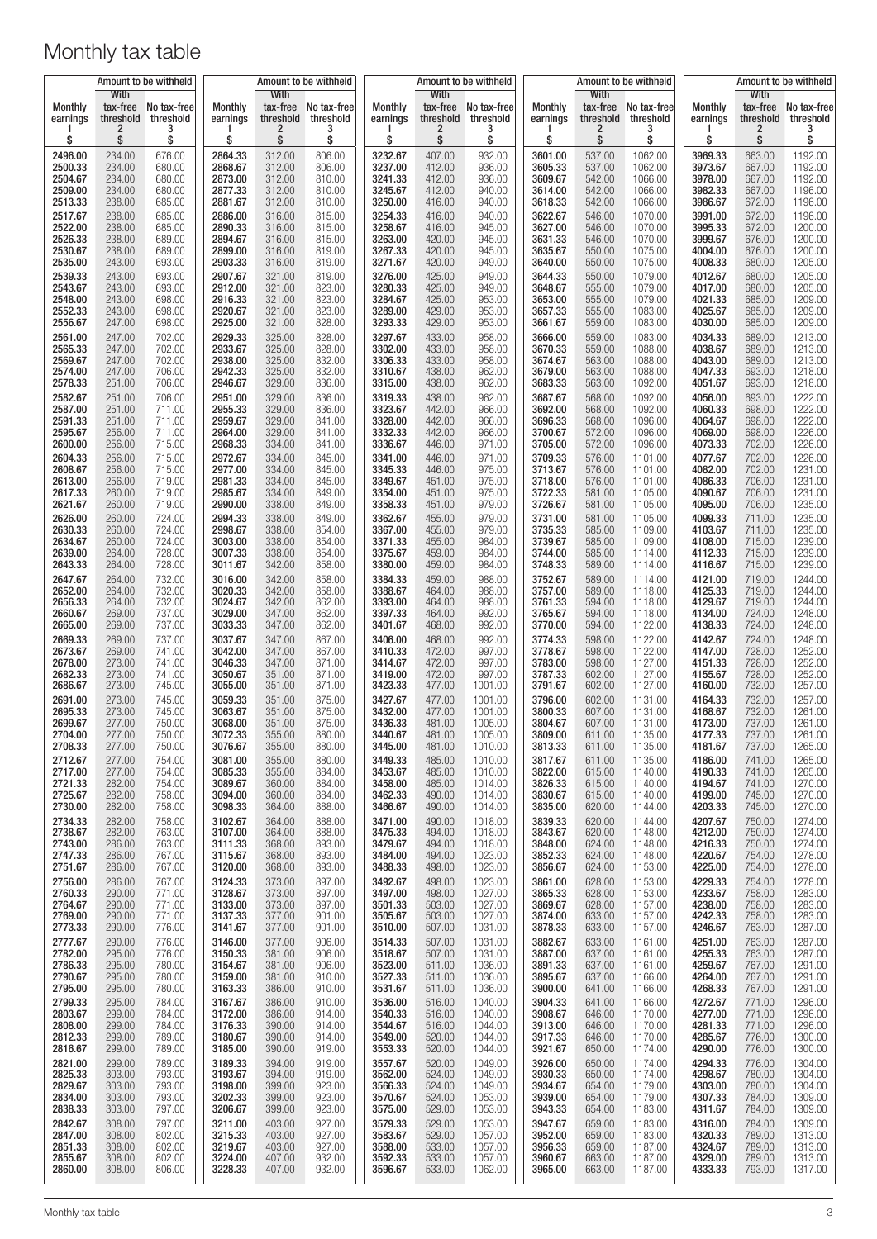| Amount to be withheld<br>With |                             |                  |                    | With             | Amount to be withheld | Amount to be withheld<br>With |                  |                    |                    | With             | Amount to be withheld | Amount to be withheld<br><b>With</b> |                             |                      |
|-------------------------------|-----------------------------|------------------|--------------------|------------------|-----------------------|-------------------------------|------------------|--------------------|--------------------|------------------|-----------------------|--------------------------------------|-----------------------------|----------------------|
| <b>Monthly</b>                | tax-free                    | No tax-free      | Monthly            |                  | tax-free No tax-free  | Monthly                       | tax-free         | No tax-free        | Monthly            |                  | tax-free No tax-free  | Monthly                              |                             | tax-free No tax-free |
| earnings                      | threshold<br>$\overline{2}$ | threshold<br>3   | earnings<br>в      | threshold<br>2   | threshold<br>3        | earnings                      | threshold<br>2   | threshold<br>3     | earnings<br>п      | threshold<br>2   | threshold<br>3        | earnings                             | threshold<br>$\overline{2}$ | threshold<br>3       |
| \$                            | \$                          | \$               | \$                 | \$               | \$                    | \$                            | \$               | \$                 | \$                 | \$               | \$                    | \$                                   | \$                          | \$                   |
| 2496.00                       | 234.00                      | 676.00           | 2864.33            | 312.00           | 806.00                | 3232.67                       | 407.00           | 932.00             | 3601.00            | 537.00           | 1062.00               | 3969.33                              | 663.00                      | 1192.00              |
| 2500.33                       | 234.00                      | 680.00           | 2868.67            | 312.00           | 806.00                | 3237.00                       | 412.00           | 936.00             | 3605.33            | 537.00           | 1062.00               | 3973.67                              | 667.00                      | 1192.00              |
| 2504.67                       | 234.00                      | 680.00           | 2873.00            | 312.00           | 810.00                | 3241.33                       | 412.00           | 936.00             | 3609.67            | 542.00           | 1066.00               | 3978.00                              | 667.00                      | 1192.00              |
| 2509.00                       | 234.00                      | 680.00           | 2877.33            | 312.00           | 810.00                | 3245.67                       | 412.00           | 940.00             | 3614.00            | 542.00           | 1066.00               | 3982.33                              | 667.00                      | 1196.00              |
| 2513.33                       | 238.00                      | 685.00           | 2881.67            | 312.00           | 810.00                | 3250.00                       | 416.00           | 940.00             | 3618.33            | 542.00           | 1066.00               | 3986.67                              | 672.00                      | 1196.00              |
| 2517.67                       | 238.00                      | 685.00           | 2886.00            | 316.00           | 815.00                | 3254.33                       | 416.00           | 940.00             | 3622.67            | 546.00           | 1070.00               | 3991.00                              | 672.00                      | 1196.00              |
| 2522.00                       | 238.00                      | 685.00           | 2890.33            | 316.00           | 815.00                | 3258.67                       | 416.00           | 945.00             | 3627.00            | 546.00           | 1070.00               | 3995.33                              | 672.00                      | 1200.00              |
| 2526.33                       | 238.00                      | 689.00           | 2894.67            | 316.00           | 815.00                | 3263.00                       | 420.00           | 945.00             | 3631.33            | 546.00           | 1070.00               | 3999.67                              | 676.00                      | 1200.00              |
| 2530.67                       | 238.00                      | 689.00           | 2899.00            | 316.00           | 819.00                | 3267.33                       | 420.00           | 945.00             | 3635.67            | 550.00           | 1075.00               | 4004.00                              | 676.00                      | 1200.00              |
| 2535.00                       | 243.00                      | 693.00           | 2903.33            | 316.00           | 819.00                | 3271.67                       | 420.00           | 949.00             | 3640.00            | 550.00           | 1075.00               | 4008.33                              | 680.00                      | 1205.00              |
| 2539.33<br>2543.67            | 243.00                      | 693.00           | 2907.67<br>2912.00 | 321.00<br>321.00 | 819.00                | 3276.00<br>3280.33            | 425.00           | 949.00             | 3644.33            | 550.00           | 1079.00               | 4012.67                              | 680.00<br>680.00            | 1205.00              |
| 2548.00                       | 243.00<br>243.00            | 693.00<br>698.00 | 2916.33            | 321.00           | 823.00<br>823.00      | 3284.67                       | 425.00<br>425.00 | 949.00<br>953.00   | 3648.67<br>3653.00 | 555.00<br>555.00 | 1079.00<br>1079.00    | 4017.00<br>4021.33                   | 685.00                      | 1205.00<br>1209.00   |
| 2552.33                       | 243.00                      | 698.00           | 2920.67            | 321.00           | 823.00                | 3289.00                       | 429.00           | 953.00             | 3657.33            | 555.00           | 1083.00               | 4025.67                              | 685.00                      | 1209.00              |
| 2556.67                       | 247.00                      | 698.00           | 2925.00            | 321.00           | 828.00                | 3293.33                       | 429.00           | 953.00             | 3661.67            | 559.00           | 1083.00               | 4030.00                              | 685.00                      | 1209.00              |
| 2561.00                       | 247.00                      | 702.00           | 2929.33            | 325.00           | 828.00                | 3297.67                       | 433.00           | 958.00             | 3666.00            | 559.00           | 1083.00               | 4034.33                              | 689.00                      | 1213.00              |
| 2565.33                       | 247.00                      | 702.00           | 2933.67            | 325.00           | 828.00                | 3302.00                       | 433.00           | 958.00             | 3670.33            | 559.00           | 1088.00               | 4038.67                              | 689.00                      | 1213.00              |
| 2569.67                       | 247.00                      | 702.00           | 2938.00            | 325.00           | 832.00                | 3306.33                       | 433.00           | 958.00             | 3674.67            | 563.00           | 1088.00               | 4043.00                              | 689.00                      | 1213.00              |
| 2574.00                       | 247.00                      | 706.00           | 2942.33            | 325.00           | 832.00                | 3310.67                       | 438.00           | 962.00             | 3679.00            | 563.00           | 1088.00               | 4047.33                              | 693.00                      | 1218.00              |
| 2578.33                       | 251.00                      | 706.00           | 2946.67            | 329.00           | 836.00                | 3315.00                       | 438.00           | 962.00             | 3683.33            | 563.00           | 1092.00               | 4051.67                              | 693.00                      | 1218.00              |
| 2582.67                       | 251.00                      | 706.00           | 2951.00            | 329.00           | 836.00                | 3319.33                       | 438.00           | 962.00             | 3687.67            | 568.00           | 1092.00               | 4056.00                              | 693.00                      | 1222.00              |
| 2587.00                       | 251.00                      | 711.00           | 2955.33            | 329.00           | 836.00                | 3323.67                       | 442.00           | 966.00             | 3692.00            | 568.00           | 1092.00               | 4060.33                              | 698.00                      | 1222.00              |
| 2591.33                       | 251.00                      | 711.00           | 2959.67            | 329.00           | 841.00                | 3328.00                       | 442.00           | 966.00             | 3696.33            | 568.00           | 1096.00               | 4064.67                              | 698.00                      | 1222.00              |
| 2595.67                       | 256.00                      | 711.00           | 2964.00            | 329.00           | 841.00                | 3332.33                       | 442.00           | 966.00             | 3700.67            | 572.00           | 1096.00               | 4069.00                              | 698.00                      | 1226.00              |
| 2600.00                       | 256.00                      | 715.00           | 2968.33            | 334.00           | 841.00                | 3336.67                       | 446.00           | 971.00             | 3705.00            | 572.00           | 1096.00               | 4073.33                              | 702.00                      | 1226.00              |
| 2604.33                       | 256.00                      | 715.00           | 2972.67            | 334.00           | 845.00                | 3341.00                       | 446.00           | 971.00             | 3709.33            | 576.00           | 1101.00               | 4077.67                              | 702.00                      | 1226.00              |
| 2608.67                       | 256.00                      | 715.00           | 2977.00            | 334.00           | 845.00                | 3345.33                       | 446.00           | 975.00             | 3713.67            | 576.00           | 1101.00               | 4082.00                              | 702.00                      | 1231.00              |
| 2613.00                       | 256.00                      | 719.00           | 2981.33            | 334.00           | 845.00                | 3349.67                       | 451.00           | 975.00             | 3718.00            | 576.00           | 1101.00               | 4086.33                              | 706.00                      | 1231.00              |
| 2617.33                       | 260.00                      | 719.00           | 2985.67            | 334.00           | 849.00                | 3354.00                       | 451.00           | 975.00             | 3722.33            | 581.00           | 1105.00               | 4090.67                              | 706.00                      | 1231.00              |
| 2621.67                       | 260.00                      | 719.00           | 2990.00            | 338.00           | 849.00                | 3358.33                       | 451.00           | 979.00             | 3726.67            | 581.00           | 1105.00               | 4095.00                              | 706.00                      | 1235.00              |
| 2626.00                       | 260.00                      | 724.00           | 2994.33            | 338.00           | 849.00                | 3362.67                       | 455.00           | 979.00             | 3731.00            | 581.00           | 1105.00               | 4099.33                              | 711.00                      | 1235.00              |
| 2630.33                       | 260.00                      | 724.00           | 2998.67            | 338.00           | 854.00                | 3367.00                       | 455.00           | 979.00             | 3735.33            | 585.00           | 1109.00               | 4103.67                              | 711.00                      | 1235.00              |
| 2634.67                       | 260.00                      | 724.00           | 3003.00            | 338.00           | 854.00                | 3371.33                       | 455.00           | 984.00             | 3739.67            | 585.00           | 1109.00               | 4108.00                              | 715.00                      | 1239.00              |
| 2639.00                       | 264.00                      | 728.00           | 3007.33            | 338.00           | 854.00                | 3375.67                       | 459.00           | 984.00             | 3744.00<br>3748.33 | 585.00           | 1114.00               | 4112.33                              | 715.00                      | 1239.00              |
| 2643.33                       | 264.00                      | 728.00           | 3011.67            | 342.00           | 858.00                | 3380.00                       | 459.00           | 984.00             | 3752.67            | 589.00           | 1114.00               | 4116.67                              | 715.00                      | 1239.00              |
| 2647.67                       | 264.00                      | 732.00           | 3016.00            | 342.00           | 858.00                | 3384.33                       | 459.00           | 988.00             |                    | 589.00           | 1114.00               | 4121.00                              | 719.00                      | 1244.00              |
| 2652.00                       | 264.00                      | 732.00           | 3020.33            | 342.00           | 858.00                | 3388.67                       | 464.00           | 988.00             | 3757.00            | 589.00           | 1118.00               | 4125.33                              | 719.00                      | 1244.00              |
| 2656.33                       | 264.00                      | 732.00           | 3024.67            | 342.00           | 862.00                | 3393.00                       | 464.00           | 988.00             | 3761.33            | 594.00           | 1118.00               | 4129.67                              | 719.00                      | 1244.00              |
| 2660.67                       | 269.00                      | 737.00           | 3029.00            | 347.00           | 862.00                | 3397.33                       | 464.00           | 992.00             | 3765.67            | 594.00           | 1118.00               | 4134.00                              | 724.00                      | 1248.00              |
| 2665.00                       | 269.00                      | 737.00           | 3033.33            | 347.00           | 862.00                | 3401.67                       | 468.00           | 992.00             | 3770.00            | 594.00           | 1122.00               | 4138.33                              | 724.00                      | 1248.00              |
| 2669.33                       | 269.00                      | 737.00           | 3037.67            | 347.00           | 867.00                | 3406.00                       | 468.00           | 992.00             | 3774.33            | 598.00           | 1122.00               | 4142.67                              | 724.00                      | 1248.00              |
| 2673.67                       | 269.00                      | 741.00           | 3042.00            | 347.00           | 867.00                | 3410.33                       | 472.00           | 997.00             | 3778.67            | 598.00           | 1122.00               | 4147.00                              | 728.00                      | 1252.00              |
| 2678.00                       | 273.00                      | 741.00           | 3046.33            | 347.00           | 871.00                | 3414.67                       | 472.00           | 997.00             | 3783.00            | 598.00           | 1127.00               | 4151.33                              | 728.00                      | 1252.00              |
| 2682.33                       | 273.00                      | 741.00           | 3050.67            | 351.00           | 871.00                | 3419.00                       | 472.00           | 997.00             | 3787.33            | 602.00           | 1127.00               | 4155.67                              | 728.00                      | 1252.00              |
| 2686.67                       | 273.00                      | 745.00           | 3055.00            | 351.00           | 871.00                | 3423.33                       | 477.00           | 1001.00            | 3791.67            | 602.00           | 1127.00               | 4160.00                              | 732.00                      | 1257.00              |
| 2691.00                       | 273.00                      | 745.00           | 3059.33            | 351.00           | 875.00                | 3427.67                       | 477.00           | 1001.00            | 3796.00            | 602.00           | 1131.00               | 4164.33                              | 732.00                      | 1257.00              |
| 2695.33                       | 273.00                      | 745.00           | 3063.67            | 351.00           | 875.00                | 3432.00                       | 477.00           | 1001.00            | 3800.33            | 607.00           | 1131.00               | 4168.67                              | 732.00                      | 1261.00              |
| 2699.67                       | 277.00                      | 750.00           | 3068.00            | 351.00           | 875.00                | 3436.33                       | 481.00           | 1005.00            | 3804.67            | 607.00           | 1131.00               | 4173.00                              | 737.00                      | 1261.00              |
| 2704.00<br>2708.33            | 277.00                      | 750.00<br>750.00 | 3072.33<br>3076.67 | 355.00<br>355.00 | 880.00<br>880.00      | 3440.67<br>3445.00            | 481.00<br>481.00 | 1005.00<br>1010.00 | 3809.00<br>3813.33 | 611.00           | 1135.00<br>1135.00    | 4177.33                              | 737.00<br>737.00            | 1261.00<br>1265.00   |
| 2712.67                       | 277.00<br>277.00            | 754.00           | 3081.00            | 355.00           | 880.00                | 3449.33                       | 485.00           | 1010.00            | 3817.67            | 611.00<br>611.00 | 1135.00               | 4181.67<br>4186.00                   | 741.00                      | 1265.00              |
| 2717.00                       | 277.00                      | 754.00           | 3085.33            | 355.00           | 884.00                | 3453.67                       | 485.00           | 1010.00            | 3822.00            | 615.00           | 1140.00               | 4190.33                              | 741.00                      | 1265.00              |
| 2721.33                       | 282.00                      | 754.00           | 3089.67            | 360.00           | 884.00                | 3458.00                       | 485.00           | 1014.00            | 3826.33            | 615.00           | 1140.00               | 4194.67                              | 741.00                      | 1270.00              |
| 2725.67                       | 282.00                      | 758.00           | 3094.00            | 360.00           | 884.00                | 3462.33                       | 490.00           | 1014.00            | 3830.67            | 615.00           | 1140.00               | 4199.00                              | 745.00                      | 1270.00              |
| 2730.00                       | 282.00                      | 758.00           | 3098.33            | 364.00           | 888.00                | 3466.67                       | 490.00           | 1014.00            | 3835.00            | 620.00           | 1144.00               | 4203.33                              | 745.00                      | 1270.00              |
| 2734.33                       | 282.00                      | 758.00           | 3102.67            | 364.00           | 888.00                | 3471.00                       | 490.00           | 1018.00            | 3839.33            | 620.00           | 1144.00               | 4207.67                              | 750.00                      | 1274.00              |
| 2738.67                       | 282.00                      | 763.00           | 3107.00            | 364.00           | 888.00                | 3475.33                       | 494.00           | 1018.00            | 3843.67            | 620.00           | 1148.00               | 4212.00                              | 750.00                      | 1274.00              |
| 2743.00                       | 286.00                      | 763.00           | 3111.33            | 368.00           | 893.00                | 3479.67                       | 494.00           | 1018.00            | 3848.00            | 624.00           | 1148.00               | 4216.33                              | 750.00                      | 1274.00              |
| 2747.33                       | 286.00                      | 767.00           | 3115.67            | 368.00           | 893.00                | 3484.00                       | 494.00           | 1023.00            | 3852.33            | 624.00           | 1148.00               | 4220.67                              | 754.00                      | 1278.00              |
| 2751.67                       | 286.00                      | 767.00           | 3120.00            | 368.00           | 893.00                | 3488.33                       | 498.00           | 1023.00            | 3856.67            | 624.00           | 1153.00               | 4225.00                              | 754.00                      | 1278.00              |
| 2756.00                       | 286.00                      | 767.00           | 3124.33            | 373.00           | 897.00                | 3492.67                       | 498.00           | 1023.00            | 3861.00            | 628.00           | 1153.00               | 4229.33                              | 754.00                      | 1278.00              |
| 2760.33                       | 290.00                      | 771.00           | 3128.67            | 373.00           | 897.00                | 3497.00                       | 498.00           | 1027.00            | 3865.33            | 628.00           | 1153.00               | 4233.67                              | 758.00                      | 1283.00              |
| 2764.67                       | 290.00                      | 771.00           | 3133.00            | 373.00           | 897.00                | 3501.33                       | 503.00           | 1027.00            | 3869.67            | 628.00           | 1157.00               | 4238.00                              | 758.00                      | 1283.00              |
| 2769.00                       | 290.00                      | 771.00           | 3137.33            | 377.00           | 901.00                | 3505.67                       | 503.00           | 1027.00            | 3874.00            | 633.00           | 1157.00               | 4242.33                              | 758.00                      | 1283.00              |
| 2773.33                       | 290.00                      | 776.00           | 3141.67            | 377.00           | 901.00                | 3510.00                       | 507.00           | 1031.00            | 3878.33            | 633.00           | 1157.00               | 4246.67                              | 763.00                      | 1287.00              |
| 2777.67                       | 290.00                      | 776.00           | 3146.00            | 377.00           | 906.00                | 3514.33                       | 507.00           | 1031.00            | 3882.67            | 633.00           | 1161.00               | 4251.00                              | 763.00                      | 1287.00              |
| 2782.00                       | 295.00                      | 776.00           | 3150.33            | 381.00           | 906.00                | 3518.67                       | 507.00           | 1031.00            | 3887.00            | 637.00           | 1161.00               | 4255.33                              | 763.00                      | 1287.00              |
| 2786.33                       | 295.00                      | 780.00           | 3154.67            | 381.00           | 906.00                | 3523.00                       | 511.00           | 1036.00            | 3891.33            | 637.00           | 1161.00               | 4259.67                              | 767.00                      | 1291.00              |
| 2790.67<br>2795.00            | 295.00<br>295.00            | 780.00<br>780.00 | 3159.00<br>3163.33 | 381.00<br>386.00 | 910.00                | 3527.33<br>3531.67            | 511.00           | 1036.00<br>1036.00 | 3895.67<br>3900.00 | 637.00<br>641.00 | 1166.00<br>1166.00    | 4264.00<br>4268.33                   | 767.00<br>767.00            | 1291.00<br>1291.00   |
| 2799.33                       | 295.00                      | 784.00           | 3167.67            | 386.00           | 910.00<br>910.00      | 3536.00                       | 511.00<br>516.00 | 1040.00            | 3904.33            | 641.00           | 1166.00               | 4272.67                              | 771.00                      | 1296.00              |
| 2803.67                       | 299.00                      | 784.00           | 3172.00            | 386.00           | 914.00                | 3540.33                       | 516.00           | 1040.00            | 3908.67            | 646.00           | 1170.00               | 4277.00                              | 771.00                      | 1296.00              |
| 2808.00                       | 299.00                      | 784.00           | 3176.33            | 390.00           | 914.00                | 3544.67                       | 516.00           | 1044.00            | 3913.00            | 646.00           | 1170.00               | 4281.33                              | 771.00                      | 1296.00              |
| 2812.33                       | 299.00                      | 789.00           | 3180.67            | 390.00           | 914.00                | 3549.00                       | 520.00           | 1044.00            | 3917.33            | 646.00           | 1170.00               | 4285.67                              | 776.00                      | 1300.00              |
| 2816.67                       | 299.00                      | 789.00           | 3185.00            | 390.00           | 919.00                | 3553.33                       | 520.00           | 1044.00            | 3921.67            | 650.00           | 1174.00               | 4290.00                              | 776.00                      | 1300.00              |
| 2821.00                       | 299.00                      | 789.00           | 3189.33            | 394.00           | 919.00                | 3557.67                       | 520.00           | 1049.00            | 3926.00            | 650.00           | 1174.00               | 4294.33                              | 776.00                      | 1304.00              |
| 2825.33                       | 303.00                      | 793.00           | 3193.67            | 394.00           | 919.00                | 3562.00                       | 524.00           | 1049.00            | 3930.33            | 650.00           | 1174.00               | 4298.67                              | 780.00                      | 1304.00              |
| 2829.67                       | 303.00                      | 793.00           | 3198.00            | 399.00           | 923.00                | 3566.33                       | 524.00           | 1049.00            | 3934.67            | 654.00           | 1179.00               | 4303.00                              | 780.00                      | 1304.00              |
| 2834.00                       | 303.00                      | 793.00           | 3202.33            | 399.00           | 923.00                | 3570.67                       | 524.00           | 1053.00            | 3939.00            | 654.00           | 1179.00               | 4307.33                              | 784.00                      | 1309.00              |
| 2838.33                       | 303.00                      | 797.00           | 3206.67            | 399.00           | 923.00                | 3575.00                       | 529.00           | 1053.00            | 3943.33            | 654.00           | 1183.00               | 4311.67                              | 784.00                      | 1309.00              |
| 2842.67                       | 308.00                      | 797.00           | 3211.00            | 403.00           | 927.00                | 3579.33                       | 529.00           | 1053.00            | 3947.67            | 659.00           | 1183.00               | 4316.00                              | 784.00                      | 1309.00              |
| 2847.00                       | 308.00                      | 802.00           | 3215.33            | 403.00           | 927.00                | 3583.67                       | 529.00           | 1057.00            | 3952.00            | 659.00           | 1183.00               | 4320.33                              | 789.00                      | 1313.00              |
| 2851.33                       | 308.00                      | 802.00           | 3219.67            | 403.00           | 927.00                | 3588.00                       | 533.00           | 1057.00            | 3956.33            | 659.00           | 1187.00               | 4324.67                              | 789.00                      | 1313.00              |
| 2855.67                       | 308.00                      | 802.00           | 3224.00            | 407.00           | 932.00                | 3592.33                       | 533.00           | 1057.00            | 3960.67            | 663.00           | 1187.00               | 4329.00                              | 789.00                      | 1313.00              |
| 2860.00                       | 308.00                      | 806.00           | 3228.33            | 407.00           | 932.00                | 3596.67                       | 533.00           | 1062.00            | 3965.00            | 663.00           | 1187.00               | 4333.33                              | 793.00                      | 1317.00              |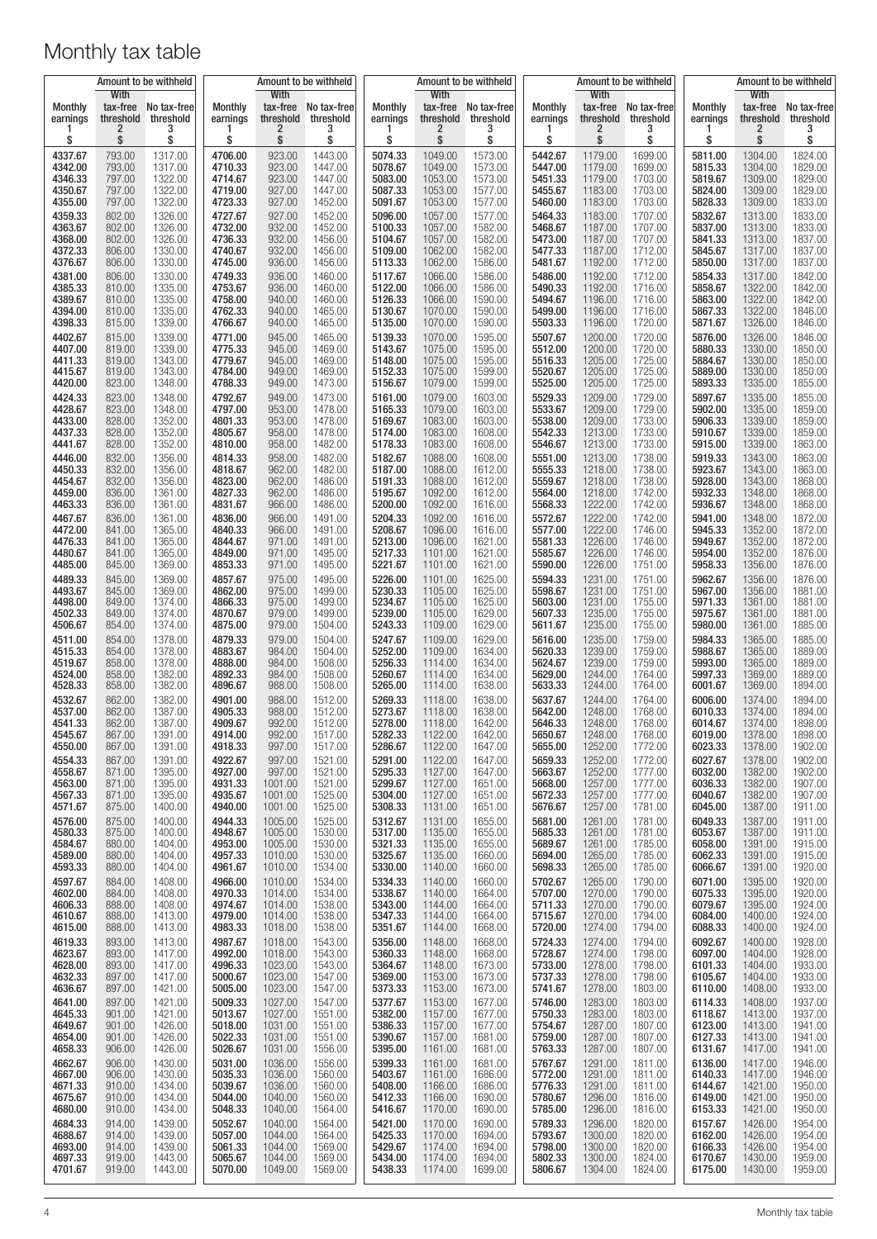| Amount to be withheld |                        |                                        | Amount to be withheld    |                        |                                        | Amount to be withheld |                                    |                               |                            |                    | Amount to be withheld                       | Amount to be withheld |                                     |                                   |
|-----------------------|------------------------|----------------------------------------|--------------------------|------------------------|----------------------------------------|-----------------------|------------------------------------|-------------------------------|----------------------------|--------------------|---------------------------------------------|-----------------------|-------------------------------------|-----------------------------------|
| Monthly<br>earnings   | With<br>threshold<br>2 | tax-free No tax-free<br>threshold<br>3 | Monthly<br>earnings<br>1 | With<br>threshold<br>2 | tax-free No tax-free<br>threshold<br>3 | Monthly<br>earnings   | With<br>tax-free<br>threshold<br>2 | No tax-free<br>threshold<br>3 | <b>Monthly</b><br>earnings | With<br>2          | tax-free No tax-free<br>threshold threshold | Monthly<br>earnings   | With<br>threshold<br>$\overline{2}$ | tax-free No tax-free<br>threshold |
| \$                    | \$                     | \$                                     | \$                       | \$                     | \$                                     | \$                    | \$                                 | \$                            | \$                         | \$                 | \$                                          | \$                    | \$                                  | \$                                |
| 4337.67<br>4342.00    | 793.00<br>793.00       | 1317.00<br>1317.00                     | 4706.00<br>4710.33       | 923.00<br>923.00       | 1443.00<br>1447.00                     | 5074.33<br>5078.67    | 1049.00<br>1049.00                 | 1573.00<br>1573.00            | 5442.67<br>5447.00         | 1179.00<br>1179.00 | 1699.00<br>1699.00                          | 5811.00<br>5815.33    | 1304.00<br>1304.00                  | 1824.00<br>1829.00                |
| 4346.33               | 797.00                 | 1322.00                                | 4714.67                  | 923.00                 | 1447.00                                | 5083.00               | 1053.00                            | 1573.00                       | 5451.33                    | 1179.00            | 1703.00                                     | 5819.67               | 1309.00                             | 1829.00                           |
| 4350.67               | 797.00                 | 1322.00                                | 4719.00                  | 927.00                 | 1447.00                                | 5087.33               | 1053.00                            | 1577.00                       | 5455.67                    | 1183.00            | 1703.00                                     | 5824.00               | 1309.00                             | 1829.00                           |
| 4355.00<br>4359.33    | 797.00<br>802.00       | 1322.00<br>1326.00                     | 4723.33<br>4727.67       | 927.00<br>927.00       | 1452.00<br>1452.00                     | 5091.67<br>5096.00    | 1053.00<br>1057.00                 | 1577.00<br>1577.00            | 5460.00<br>5464.33         | 1183.00<br>1183.00 | 1703.00<br>1707.00                          | 5828.33<br>5832.67    | 1309.00<br>1313.00                  | 1833.00<br>1833.00                |
| 4363.67               | 802.00                 | 1326.00                                | 4732.00                  | 932.00                 | 1452.00                                | 5100.33               | 1057.00                            | 1582.00                       | 5468.67                    | 1187.00            | 1707.00                                     | 5837.00               | 1313.00                             | 1833.00                           |
| 4368.00               | 802.00                 | 1326.00                                | 4736.33                  | 932.00                 | 1456.00                                | 5104.67               | 1057.00<br>1062.00                 | 1582.00                       | 5473.00<br>5477.33         | 1187.00            | 1707.00                                     | 5841.33<br>5845.67    | 1313.00<br>1317.00                  | 1837.00<br>1837.00                |
| 4372.33<br>4376.67    | 806.00<br>806.00       | 1330.00<br>1330.00                     | 4740.67<br>4745.00       | 932.00<br>936.00       | 1456.00<br>1456.00                     | 5109.00<br>5113.33    | 1062.00                            | 1582.00<br>1586.00            | 5481.67                    | 1187.00<br>1192.00 | 1712.00<br>1712.00                          | 5850.00               | 1317.00                             | 1837.00                           |
| 4381.00               | 806.00                 | 1330.00                                | 4749.33                  | 936.00                 | 1460.00                                | 5117.67               | 1066.00                            | 1586.00                       | 5486.00                    | 1192.00            | 1712.00                                     | 5854.33               | 1317.00                             | 1842.00                           |
| 4385.33<br>4389.67    | 810.00<br>810.00       | 1335.00<br>1335.00                     | 4753.67<br>4758.00       | 936.00<br>940.00       | 1460.00<br>1460.00                     | 5122.00<br>5126.33    | 1066.00<br>1066.00                 | 1586.00<br>1590.00            | 5490.33<br>5494.67         | 1192.00<br>1196.00 | 1716.00<br>1716.00                          | 5858.67<br>5863.00    | 1322.00<br>1322.00                  | 1842.00<br>1842.00                |
| 4394.00               | 810.00                 | 1335.00                                | 4762.33                  | 940.00                 | 1465.00                                | 5130.67               | 1070.00                            | 1590.00                       | 5499.00                    | 1196.00            | 1716.00                                     | 5867.33               | 1322.00                             | 1846.00                           |
| 4398.33<br>4402.67    | 815.00<br>815.00       | 1339.00<br>1339.00                     | 4766.67<br>4771.00       | 940.00<br>945.00       | 1465.00<br>1465.00                     | 5135.00<br>5139.33    | 1070.00<br>1070.00                 | 1590.00<br>1595.00            | 5503.33<br>5507.67         | 1196.00<br>1200.00 | 1720.00<br>1720.00                          | 5871.67<br>5876.00    | 1326.00<br>1326.00                  | 1846.00<br>1846.00                |
| 4407.00               | 819.00                 | 1339.00                                | 4775.33                  | 945.00                 | 1469.00                                | 5143.67               | 1075.00                            | 1595.00                       | 5512.00                    | 1200.00            | 1720.00                                     | 5880.33               | 1330.00                             | 1850.00                           |
| 4411.33               | 819.00                 | 1343.00                                | 4779.67                  | 945.00<br>949.00       | 1469.00                                | 5148.00               | 1075.00                            | 1595.00                       | 5516.33                    | 1205.00            | 1725.00                                     | 5884.67               | 1330.00                             | 1850.00<br>1850.00                |
| 4415.67<br>4420.00    | 819.00<br>823.00       | 1343.00<br>1348.00                     | 4784.00<br>4788.33       | 949.00                 | 1469.00<br>1473.00                     | 5152.33<br>5156.67    | 1075.00<br>1079.00                 | 1599.00<br>1599.00            | 5520.67<br>5525.00         | 1205.00<br>1205.00 | 1725.00<br>1725.00                          | 5889.00<br>5893.33    | 1330.00<br>1335.00                  | 1855.00                           |
| 4424.33               | 823.00                 | 1348.00                                | 4792.67                  | 949.00                 | 1473.00                                | 5161.00               | 1079.00                            | 1603.00                       | 5529.33                    | 1209.00            | 1729.00                                     | 5897.67               | 1335.00                             | 1855.00                           |
| 4428.67<br>4433.00    | 823.00<br>828.00       | 1348.00<br>1352.00                     | 4797.00<br>4801.33       | 953.00<br>953.00       | 1478.00<br>1478.00                     | 5165.33<br>5169.67    | 1079.00<br>1083.00                 | 1603.00<br>1603.00            | 5533.67<br>5538.00         | 1209.00<br>1209.00 | 1729.00<br>1733.00                          | 5902.00<br>5906.33    | 1335.00<br>1339.00                  | 1859.00<br>1859.00                |
| 4437.33               | 828.00                 | 1352.00                                | 4805.67                  | 958.00                 | 1478.00                                | 5174.00               | 1083.00                            | 1608.00                       | 5542.33                    | 1213.00            | 1733.00                                     | 5910.67               | 1339.00                             | 1859.00                           |
| 4441.67<br>4446.00    | 828.00<br>832.00       | 1352.00<br>1356.00                     | 4810.00<br>4814.33       | 958.00<br>958.00       | 1482.00<br>1482.00                     | 5178.33<br>5182.67    | 1083.00<br>1088.00                 | 1608.00<br>1608.00            | 5546.67<br>5551.00         | 1213.00<br>1213.00 | 1733.00<br>1738.00                          | 5915.00<br>5919.33    | 1339.00<br>1343.00                  | 1863.00<br>1863.00                |
| 4450.33               | 832.00                 | 1356.00                                | 4818.67                  | 962.00                 | 1482.00                                | 5187.00               | 1088.00                            | 1612.00                       | 5555.33                    | 1218.00            | 1738.00                                     | 5923.67               | 1343.00                             | 1863.00                           |
| 4454.67<br>4459.00    | 832.00<br>836.00       | 1356.00<br>1361.00                     | 4823.00<br>4827.33       | 962.00<br>962.00       | 1486.00<br>1486.00                     | 5191.33<br>5195.67    | 1088.00<br>1092.00                 | 1612.00<br>1612.00            | 5559.67<br>5564.00         | 1218.00<br>1218.00 | 1738.00<br>1742.00                          | 5928.00<br>5932.33    | 1343.00<br>1348.00                  | 1868.00<br>1868.00                |
| 4463.33               | 836.00                 | 1361.00                                | 4831.67                  | 966.00                 | 1486.00                                | 5200.00               | 1092.00                            | 1616.00                       | 5568.33                    | 1222.00            | 1742.00                                     | 5936.67               | 1348.00                             | 1868.00                           |
| 4467.67               | 836.00                 | 1361.00                                | 4836.00                  | 966.00                 | 1491.00                                | 5204.33               | 1092.00                            | 1616.00                       | 5572.67                    | 1222.00            | 1742.00                                     | 5941.00               | 1348.00                             | 1872.00                           |
| 4472.00<br>4476.33    | 841.00<br>841.00       | 1365.00<br>1365.00                     | 4840.33<br>4844.67       | 966.00<br>971.00       | 1491.00<br>1491.00                     | 5208.67<br>5213.00    | 1096.00<br>1096.00                 | 1616.00<br>1621.00            | 5577.00<br>5581.33         | 1222.00<br>1226.00 | 1746.00<br>1746.00                          | 5945.33<br>5949.67    | 1352.00<br>1352.00                  | 1872.00<br>1872.00                |
| 4480.67               | 841.00                 | 1365.00                                | 4849.00                  | 971.00                 | 1495.00                                | 5217.33               | 1101.00                            | 1621.00                       | 5585.67                    | 1226.00            | 1746.00                                     | 5954.00               | 1352.00                             | 1876.00                           |
| 4485.00<br>4489.33    | 845.00<br>845.00       | 1369.00<br>1369.00                     | 4853.33<br>4857.67       | 971.00<br>975.00       | 1495.00<br>1495.00                     | 5221.67<br>5226.00    | 1101.00<br>1101.00                 | 1621.00<br>1625.00            | 5590.00<br>5594.33         | 1226.00<br>1231.00 | 1751.00<br>1751.00                          | 5958.33<br>5962.67    | 1356.00<br>1356.00                  | 1876.00<br>1876.00                |
| 4493.67               | 845.00                 | 1369.00                                | 4862.00                  | 975.00                 | 1499.00                                | 5230.33               | 1105.00                            | 1625.00                       | 5598.67                    | 1231.00            | 1751.00                                     | 5967.00               | 1356.00                             | 1881.00                           |
| 4498.00<br>4502.33    | 849.00<br>849.00       | 1374.00<br>1374.00                     | 4866.33<br>4870.67       | 975.00<br>979.00       | 1499.00<br>1499.00                     | 5234.67<br>5239.00    | 1105.00<br>1105.00                 | 1625.00<br>1629.00            | 5603.00<br>5607.33         | 1231.00<br>1235.00 | 1755.00<br>1755.00                          | 5971.33<br>5975.67    | 1361.00<br>1361.00                  | 1881.00<br>1881.00                |
| 4506.67               | 854.00                 | 1374.00                                | 4875.00                  | 979.00                 | 1504.00                                | 5243.33               | 1109.00                            | 1629.00                       | 5611.67                    | 1235.00            | 1755.00                                     | 5980.00               | 1361.00                             | 1885.00                           |
| 4511.00               | 854.00                 | 1378.00                                | 4879.33                  | 979.00                 | 1504.00                                | 5247.67               | 1109.00                            | 1629.00                       | 5616.00                    | 1235.00            | 1759.00                                     | 5984.33               | 1365.00                             | 1885.00                           |
| 4515.33<br>4519.67    | 854.00<br>858.00       | 1378.00<br>1378.00                     | 4883.67<br>4888.00       | 984.00<br>984.00       | 1504.00<br>1508.00                     | 5252.00<br>5256.33    | 1109.00<br>1114.00                 | 1634.00<br>1634.00            | 5620.33<br>5624.67         | 1239.00<br>1239.00 | 1759.00<br>1759.00                          | 5988.67<br>5993.00    | 1365.00<br>1365.00                  | 1889.00<br>1889.00                |
| 4524.00               | 858.00                 | 1382.00                                | 4892.33                  | 984.00<br>988.00       | 1508.00                                | 5260.67               | 1114.00                            | 1634.00                       | 5629.00                    | 1244.00            | 1764.00<br>1764.00                          | 5997.33               | 1369.00                             | 1889.00                           |
| 4528.33<br>4532.67    | 858.00<br>862.00       | 1382.00<br>1382.00                     | 4896.67<br>4901.00       | 988.00                 | 1508.00<br>1512.00                     | 5265.00<br>5269.33    | 1114.00<br>1118.00                 | 1638.00<br>1638.00            | 5633.33<br>5637.67         | 1244.00<br>1244.00 | 1764.00                                     | 6001.67<br>6006.00    | 1369.00<br>1374.00                  | 1894.00<br>1894.00                |
| 4537.00               | 862.00                 | 1387.00                                | 4905.33                  | 988.00                 | 1512.00                                | 5273.67               | 1118.00                            | 1638.00                       | 5642.00                    | 1248.00            | 1768.00                                     | 6010.33               | 1374.00                             | 1894.00                           |
| 4541.33<br>4545.67    | 862.00<br>867.00       | 1387.00<br>1391.00                     | 4909.67<br>4914.00       | 992.00<br>992.00       | 1512.00<br>1517.00                     | 5278.00<br>5282.33    | 1118.00<br>1122.00                 | 1642.00<br>1642.00            | 5646.33<br>5650.67         | 1248.00<br>1248.00 | 1768.00<br>1768.00                          | 6014.67<br>6019.00    | 1374.00<br>1378.00                  | 1898.00<br>1898.00                |
| 4550.00               | 867.00                 | 1391.00                                | 4918.33                  | 997.00                 | 1517.00                                | 5286.67               | 1122.00                            | 1647.00                       | 5655.00                    | 1252.00            | 1772.00                                     | 6023.33               | 1378.00                             | 1902.00                           |
| 4554.33<br>4558.67    | 867.00<br>871.00       | 1391.00<br>1395.00                     | 4922.67<br>4927.00       | 997.00<br>997.00       | 1521.00<br>1521.00                     | 5291.00<br>5295.33    | 1122.00<br>1127.00                 | 1647.00<br>1647.00            | 5659.33<br>5663.67         | 1252.00<br>1252.00 | 1772.00<br>1777.00                          | 6027.67<br>6032.00    | 1378.00<br>1382.00                  | 1902.00<br>1902.00                |
| 4563.00               | 871.00                 | 1395.00                                | 4931.33                  | 1001.00                | 1521.00                                | 5299.67               | 1127.00                            | 1651.00                       | 5668.00                    | 1257.00            | 1777.00                                     | 6036.33               | 1382.00                             | 1907.00                           |
| 4567.33<br>4571.67    | 871.00<br>875.00       | 1395.00<br>1400.00                     | 4935.67<br>4940.00       | 1001.00<br>1001.00     | 1525.00<br>1525.00                     | 5304.00<br>5308.33    | 1127.00<br>1131.00                 | 1651.00<br>1651.00            | 5672.33<br>5676.67         | 1257.00<br>1257.00 | 1777.00<br>1781.00                          | 6040.67<br>6045.00    | 1382.00<br>1387.00                  | 1907.00<br>1911.00                |
| 4576.00               | 875.00                 | 1400.00                                | 4944.33                  | 1005.00                | 1525.00                                | 5312.67               | 1131.00                            | 1655.00                       | 5681.00                    | 1261.00            | 1781.00                                     | 6049.33               | 1387.00                             | 1911.00                           |
| 4580.33               | 875.00                 | 1400.00                                | 4948.67                  | 1005.00<br>1005.00     | 1530.00                                | 5317.00<br>5321.33    | 1135.00                            | 1655.00                       | 5685.33                    | 1261.00<br>1261.00 | 1781.00                                     | 6053.67               | 1387.00                             | 1911.00                           |
| 4584.67<br>4589.00    | 880.00<br>880.00       | 1404.00<br>1404.00                     | 4953.00<br>4957.33       | 1010.00                | 1530.00<br>1530.00                     | 5325.67               | 1135.00<br>1135.00                 | 1655.00<br>1660.00            | 5689.67<br>5694.00         | 1265.00            | 1785.00<br>1785.00                          | 6058.00<br>6062.33    | 1391.00<br>1391.00                  | 1915.00<br>1915.00                |
| 4593.33               | 880.00                 | 1404.00                                | 4961.67                  | 1010.00                | 1534.00                                | 5330.00               | 1140.00                            | 1660.00                       | 5698.33                    | 1265.00            | 1785.00                                     | 6066.67               | 1391.00                             | 1920.00                           |
| 4597.67<br>4602.00    | 884.00<br>884.00       | 1408.00<br>1408.00                     | 4966.00<br>4970.33       | 1010.00<br>1014.00     | 1534.00<br>1534.00                     | 5334.33<br>5338.67    | 1140.00<br>1140.00                 | 1660.00<br>1664.00            | 5702.67<br>5707.00         | 1265.00<br>1270.00 | 1790.00<br>1790.00                          | 6071.00<br>6075.33    | 1395.00<br>1395.00                  | 1920.00<br>1920.00                |
| 4606.33               | 888.00                 | 1408.00                                | 4974.67                  | 1014.00                | 1538.00                                | 5343.00               | 1144.00                            | 1664.00                       | 5711.33                    | 1270.00            | 1790.00                                     | 6079.67               | 1395.00                             | 1924.00                           |
| 4610.67<br>4615.00    | 888.00<br>888.00       | 1413.00<br>1413.00                     | 4979.00<br>4983.33       | 1014.00<br>1018.00     | 1538.00<br>1538.00                     | 5347.33<br>5351.67    | 1144.00<br>1144.00                 | 1664.00<br>1668.00            | 5715.67<br>5720.00         | 1270.00<br>1274.00 | 1794.00<br>1794.00                          | 6084.00<br>6088.33    | 1400.00<br>1400.00                  | 1924.00<br>1924.00                |
| 4619.33               | 893.00                 | 1413.00                                | 4987.67                  | 1018.00                | 1543.00                                | 5356.00               | 1148.00                            | 1668.00                       | 5724.33                    | 1274.00            | 1794.00                                     | 6092.67               | 1400.00                             | 1928.00                           |
| 4623.67<br>4628.00    | 893.00<br>893.00       | 1417.00<br>1417.00                     | 4992.00<br>4996.33       | 1018.00<br>1023.00     | 1543.00<br>1543.00                     | 5360.33<br>5364.67    | 1148.00<br>1148.00                 | 1668.00<br>1673.00            | 5728.67<br>5733.00         | 1274.00<br>1278.00 | 1798.00<br>1798.00                          | 6097.00<br>6101.33    | 1404.00<br>1404.00                  | 1928.00<br>1933.00                |
| 4632.33               | 897.00                 | 1417.00                                | 5000.67                  | 1023.00                | 1547.00                                | 5369.00               | 1153.00                            | 1673.00                       | 5737.33                    | 1278.00            | 1798.00                                     | 6105.67               | 1404.00                             | 1933.00                           |
| 4636.67<br>4641.00    | 897.00<br>897.00       | 1421.00<br>1421.00                     | 5005.00<br>5009.33       | 1023.00<br>1027.00     | 1547.00<br>1547.00                     | 5373.33<br>5377.67    | 1153.00<br>1153.00                 | 1673.00<br>1677.00            | 5741.67<br>5746.00         | 1278.00<br>1283.00 | 1803.00<br>1803.00                          | 6110.00<br>6114.33    | 1408.00<br>1408.00                  | 1933.00<br>1937.00                |
| 4645.33               | 901.00                 | 1421.00                                | 5013.67                  | 1027.00                | 1551.00                                | 5382.00               | 1157.00                            | 1677.00                       | 5750.33                    | 1283.00            | 1803.00                                     | 6118.67               | 1413.00                             | 1937.00                           |
| 4649.67<br>4654.00    | 901.00<br>901.00       | 1426.00<br>1426.00                     | 5018.00<br>5022.33       | 1031.00<br>1031.00     | 1551.00                                | 5386.33<br>5390.67    | 1157.00<br>1157.00                 | 1677.00<br>1681.00            | 5754.67<br>5759.00         | 1287.00<br>1287.00 | 1807.00                                     | 6123.00<br>6127.33    | 1413.00<br>1413.00                  | 1941.00<br>1941.00                |
| 4658.33               | 906.00                 | 1426.00                                | 5026.67                  | 1031.00                | 1551.00<br>1556.00                     | 5395.00               | 1161.00                            | 1681.00                       | 5763.33                    | 1287.00            | 1807.00<br>1807.00                          | 6131.67               | 1417.00                             | 1941.00                           |
| 4662.67               | 906.00                 | 1430.00                                | 5031.00                  | 1036.00                | 1556.00                                | 5399.33               | 1161.00                            | 1681.00                       | 5767.67                    | 1291.00            | 1811.00                                     | 6136.00               | 1417.00                             | 1946.00                           |
| 4667.00<br>4671.33    | 906.00<br>910.00       | 1430.00<br>1434.00                     | 5035.33<br>5039.67       | 1036.00<br>1036.00     | 1560.00<br>1560.00                     | 5403.67<br>5408.00    | 1161.00<br>1166.00                 | 1686.00<br>1686.00            | 5772.00<br>5776.33         | 1291.00<br>1291.00 | 1811.00<br>1811.00                          | 6140.33<br>6144.67    | 1417.00<br>1421.00                  | 1946.00<br>1950.00                |
| 4675.67               | 910.00                 | 1434.00                                | 5044.00                  | 1040.00                | 1560.00                                | 5412.33               | 1166.00                            | 1690.00                       | 5780.67                    | 1296.00            | 1816.00                                     | 6149.00               | 1421.00                             | 1950.00                           |
| 4680.00<br>4684.33    | 910.00<br>914.00       | 1434.00<br>1439.00                     | 5048.33<br>5052.67       | 1040.00<br>1040.00     | 1564.00<br>1564.00                     | 5416.67<br>5421.00    | 1170.00<br>1170.00                 | 1690.00<br>1690.00            | 5785.00<br>5789.33         | 1296.00<br>1296.00 | 1816.00<br>1820.00                          | 6153.33<br>6157.67    | 1421.00<br>1426.00                  | 1950.00<br>1954.00                |
| 4688.67               | 914.00                 | 1439.00                                | 5057.00                  | 1044.00                | 1564.00                                | 5425.33               | 1170.00                            | 1694.00                       | 5793.67                    | 1300.00            | 1820.00                                     | 6162.00               | 1426.00                             | 1954.00                           |
| 4693.00<br>4697.33    | 914.00<br>919.00       | 1439.00<br>1443.00                     | 5061.33<br>5065.67       | 1044.00<br>1044.00     | 1569.00<br>1569.00                     | 5429.67<br>5434.00    | 1174.00<br>1174.00                 | 1694.00<br>1694.00            | 5798.00<br>5802.33         | 1300.00<br>1300.00 | 1820.00<br>1824.00                          | 6166.33<br>6170.67    | 1426.00<br>1430.00                  | 1954.00<br>1959.00                |
| 4701.67               | 919.00                 | 1443.00                                | 5070.00                  | 1049.00                | 1569.00                                | 5438.33               | 1174.00                            | 1699.00                       | 5806.67                    | 1304.00            | 1824.00                                     | 6175.00               | 1430.00                             | 1959.00                           |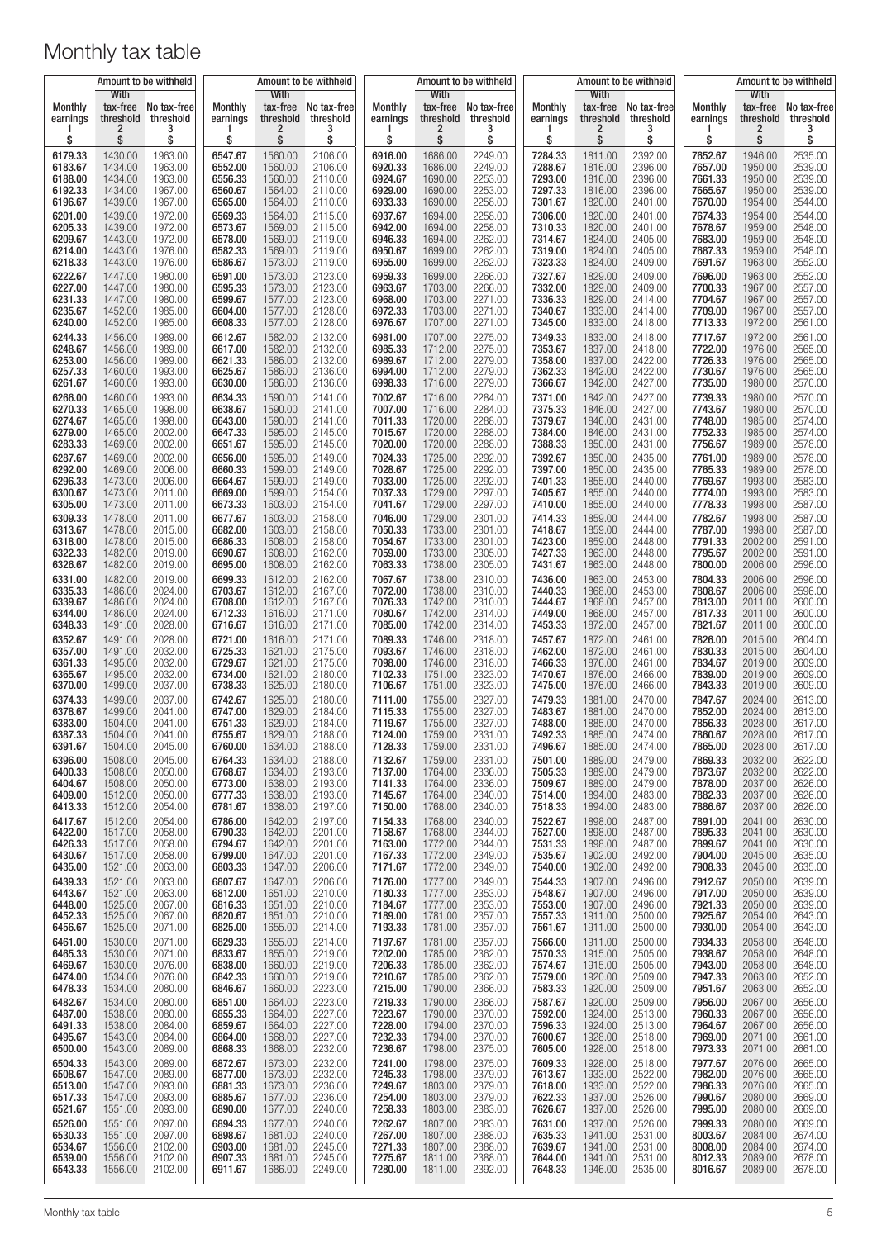|                                                     | Amount to be withheld                               |                                                     | Amount to be withheld                               |                                                     |                                                     | Amount to be withheld                               |                                                     |                                                     |                                                     |                                                     | Amount to be withheld                               | Amount to be withheld                               |                                                     |                                                     |
|-----------------------------------------------------|-----------------------------------------------------|-----------------------------------------------------|-----------------------------------------------------|-----------------------------------------------------|-----------------------------------------------------|-----------------------------------------------------|-----------------------------------------------------|-----------------------------------------------------|-----------------------------------------------------|-----------------------------------------------------|-----------------------------------------------------|-----------------------------------------------------|-----------------------------------------------------|-----------------------------------------------------|
| <b>Monthly</b><br>earnings<br>\$                    | With<br>threshold<br>2<br>\$                        | tax-free No tax-free<br>threshold<br>S              | <b>Monthly</b><br>earnings<br>\$                    | With<br>tax-free<br>threshold<br>2<br>\$            | No tax-free<br>threshold<br>3<br>\$                 | <b>Monthly</b><br>earnings<br>\$                    | With<br>threshold<br>2<br>\$                        | tax-free No tax-free<br>threshold<br>3<br>\$        | <b>Monthly</b><br>earnings<br>\$                    | With<br>tax-free<br>threshold<br>2<br>\$            | No tax-free<br>threshold<br>\$                      | <b>Monthly</b><br>earnings<br>\$                    | With<br>threshold<br>2<br>\$                        | tax-free No tax-free<br>threshold<br>\$             |
| 6179.33                                             | 1430.00                                             | 1963.00                                             | 6547.67                                             | 1560.00                                             | 2106.00                                             | 6916.00                                             | 1686.00                                             | 2249.00                                             | 7284.33                                             | 1811.00                                             | 2392.00                                             | 7652.67                                             | 1946.00                                             | 2535.00                                             |
| 6183.67                                             | 1434.00                                             | 1963.00                                             | 6552.00                                             | 1560.00                                             | 2106.00                                             | 6920.33                                             | 1686.00                                             | 2249.00                                             | 7288.67                                             | 1816.00                                             | 2396.00                                             | 7657.00                                             | 1950.00                                             | 2539.00                                             |
| 6188.00                                             | 1434.00                                             | 1963.00                                             | 6556.33                                             | 1560.00                                             | 2110.00                                             | 6924.67                                             | 1690.00                                             | 2253.00                                             | 7293.00                                             | 1816.00                                             | 2396.00                                             | 7661.33                                             | 1950.00                                             | 2539.00                                             |
| 6192.33                                             | 1434.00                                             | 1967.00                                             | 6560.67                                             | 1564.00                                             | 2110.00                                             | 6929.00                                             | 1690.00                                             | 2253.00                                             | 7297.33                                             | 1816.00                                             | 2396.00                                             | 7665.67                                             | 1950.00                                             | 2539.00                                             |
| 6196.67                                             | 1439.00                                             | 1967.00                                             | 6565.00                                             | 1564.00                                             | 2110.00                                             | 6933.33                                             | 1690.00                                             | 2258.00                                             | 7301.67                                             | 1820.00                                             | 2401.00                                             | 7670.00                                             | 1954.00                                             | 2544.00                                             |
| 6201.00                                             | 1439.00                                             | 1972.00                                             | 6569.33                                             | 1564.00                                             | 2115.00                                             | 6937.67                                             | 1694.00                                             | 2258.00                                             | 7306.00                                             | 1820.00                                             | 2401.00                                             | 7674.33                                             | 1954.00                                             | 2544.00                                             |
| 6205.33                                             | 1439.00                                             | 1972.00                                             | 6573.67                                             | 1569.00                                             | 2115.00                                             | 6942.00                                             | 1694.00                                             | 2258.00                                             | 7310.33                                             | 1820.00                                             | 2401.00                                             | 7678.67                                             | 1959.00                                             | 2548.00                                             |
| 6209.67                                             | 1443.00                                             | 1972.00                                             | 6578.00                                             | 1569.00                                             | 2119.00                                             | 6946.33                                             | 1694.00                                             | 2262.00                                             | 7314.67                                             | 1824.00                                             | 2405.00                                             | 7683.00                                             | 1959.00                                             | 2548.00                                             |
| 6214.00                                             | 1443.00                                             | 1976.00                                             | 6582.33                                             | 1569.00                                             | 2119.00                                             | 6950.67                                             | 1699.00                                             | 2262.00                                             | 7319.00                                             | 1824.00                                             | 2405.00                                             | 7687.33                                             | 1959.00                                             | 2548.00                                             |
| 6218.33                                             | 1443.00                                             | 1976.00                                             | 6586.67                                             | 1573.00                                             | 2119.00                                             | 6955.00                                             | 1699.00                                             | 2262.00                                             | 7323.33                                             | 1824.00                                             | 2409.00                                             | 7691.67                                             | 1963.00                                             | 2552.00                                             |
| 6222.67                                             | 1447.00                                             | 1980.00                                             | 6591.00                                             | 1573.00                                             | 2123.00                                             | 6959.33                                             | 1699.00                                             | 2266.00                                             | 7327.67                                             | 1829.00                                             | 2409.00                                             | 7696.00                                             | 1963.00                                             | 2552.00                                             |
| 6227.00                                             | 1447.00                                             | 1980.00                                             | 6595.33                                             | 1573.00                                             | 2123.00                                             | 6963.67                                             | 1703.00                                             | 2266.00                                             | 7332.00                                             | 1829.00                                             | 2409.00                                             | 7700.33                                             | 1967.00                                             | 2557.00                                             |
| 6231.33                                             | 1447.00                                             | 1980.00                                             | 6599.67                                             | 1577.00                                             | 2123.00                                             | 6968.00                                             | 1703.00                                             | 2271.00                                             | 7336.33                                             | 1829.00                                             | 2414.00                                             | 7704.67                                             | 1967.00                                             | 2557.00                                             |
| 6235.67                                             | 1452.00                                             | 1985.00                                             | 6604.00                                             | 1577.00                                             | 2128.00                                             | 6972.33                                             | 1703.00                                             | 2271.00                                             | 7340.67                                             | 1833.00                                             | 2414.00                                             | 7709.00                                             | 1967.00                                             | 2557.00                                             |
| 6240.00                                             | 1452.00                                             | 1985.00                                             | 6608.33                                             | 1577.00                                             | 2128.00                                             | 6976.67                                             | 1707.00                                             | 2271.00                                             | 7345.00                                             | 1833.00                                             | 2418.00                                             | 7713.33                                             | 1972.00                                             | 2561.00                                             |
| 6244.33                                             | 1456.00                                             | 1989.00                                             | 6612.67                                             | 1582.00                                             | 2132.00                                             | 6981.00                                             | 1707.00                                             | 2275.00                                             | 7349.33                                             | 1833.00                                             | 2418.00                                             | 7717.67                                             | 1972.00                                             | 2561.00                                             |
| 6248.67                                             | 1456.00                                             | 1989.00                                             | 6617.00                                             | 1582.00                                             | 2132.00                                             | 6985.33                                             | 1712.00                                             | 2275.00                                             | 7353.67                                             | 1837.00                                             | 2418.00                                             | 7722.00                                             | 1976.00                                             | 2565.00                                             |
| 6253.00<br>6257.33<br>6261.67<br>6266.00            | 1456.00<br>1460.00<br>1460.00<br>1460.00            | 1989.00<br>1993.00<br>1993.00<br>1993.00            | 6621.33<br>6625.67<br>6630.00<br>6634.33            | 1586.00<br>1586.00<br>1586.00<br>1590.00<br>1590.00 | 2132.00<br>2136.00<br>2136.00<br>2141.00            | 6989.67<br>6994.00<br>6998.33<br>7002.67            | 1712.00<br>1712.00<br>1716.00<br>1716.00            | 2279.00<br>2279.00<br>2279.00<br>2284.00            | 7358.00<br>7362.33<br>7366.67<br>7371.00<br>7375.33 | 1837.00<br>1842.00<br>1842.00<br>1842.00            | 2422.00<br>2422.00<br>2427.00<br>2427.00            | 7726.33<br>7730.67<br>7735.00<br>7739.33<br>7743.67 | 1976.00<br>1976.00<br>1980.00<br>1980.00<br>1980.00 | 2565.00<br>2565.00<br>2570.00<br>2570.00            |
| 6270.33<br>6274.67<br>6279.00<br>6283.33<br>6287.67 | 1465.00<br>1465.00<br>1465.00<br>1469.00<br>1469.00 | 1998.00<br>1998.00<br>2002.00<br>2002.00<br>2002.00 | 6638.67<br>6643.00<br>6647.33<br>6651.67<br>6656.00 | 1590.00<br>1595.00<br>1595.00<br>1595.00            | 2141.00<br>2141.00<br>2145.00<br>2145.00<br>2149.00 | 7007.00<br>7011.33<br>7015.67<br>7020.00<br>7024.33 | 1716.00<br>1720.00<br>1720.00<br>1720.00<br>1725.00 | 2284.00<br>2288.00<br>2288.00<br>2288.00<br>2292.00 | 7379.67<br>7384.00<br>7388.33<br>7392.67            | 1846.00<br>1846.00<br>1846.00<br>1850.00<br>1850.00 | 2427.00<br>2431.00<br>2431.00<br>2431.00<br>2435.00 | 7748.00<br>7752.33<br>7756.67<br>7761.00            | 1985.00<br>1985.00<br>1989.00<br>1989.00            | 2570.00<br>2574.00<br>2574.00<br>2578.00<br>2578.00 |
| 6292.00                                             | 1469.00                                             | 2006.00                                             | 6660.33                                             | 1599.00                                             | 2149.00                                             | 7028.67                                             | 1725.00                                             | 2292.00                                             | 7397.00                                             | 1850.00                                             | 2435.00                                             | 7765.33                                             | 1989.00                                             | 2578.00                                             |
| 6296.33                                             | 1473.00                                             | 2006.00                                             | 6664.67                                             | 1599.00                                             | 2149.00                                             | 7033.00                                             | 1725.00                                             | 2292.00                                             | 7401.33                                             | 1855.00                                             | 2440.00                                             | 7769.67                                             | 1993.00                                             | 2583.00                                             |
| 6300.67                                             | 1473.00                                             | 2011.00                                             | 6669.00                                             | 1599.00                                             | 2154.00                                             | 7037.33                                             | 1729.00                                             | 2297.00                                             | 7405.67                                             | 1855.00                                             | 2440.00                                             | 7774.00                                             | 1993.00                                             | 2583.00                                             |
| 6305.00                                             | 1473.00                                             | 2011.00                                             | 6673.33                                             | 1603.00                                             | 2154.00                                             | 7041.67                                             | 1729.00                                             | 2297.00                                             | 7410.00                                             | 1855.00                                             | 2440.00                                             | 7778.33                                             | 1998.00                                             | 2587.00                                             |
| 6309.33                                             | 1478.00                                             | 2011.00                                             | 6677.67                                             | 1603.00                                             | 2158.00                                             | 7046.00                                             | 1729.00                                             | 2301.00                                             | 7414.33                                             | 1859.00                                             | 2444.00                                             | 7782.67                                             | 1998.00                                             | 2587.00                                             |
| 6313.67                                             | 1478.00                                             | 2015.00                                             | 6682.00                                             | 1603.00                                             | 2158.00                                             | 7050.33                                             | 1733.00                                             | 2301.00                                             | 7418.67                                             | 1859.00                                             | 2444.00                                             | 7787.00                                             | 1998.00                                             | 2587.00                                             |
| 6318.00                                             | 1478.00                                             | 2015.00                                             | 6686.33                                             | 1608.00                                             | 2158.00                                             | 7054.67                                             | 1733.00                                             | 2301.00                                             | 7423.00                                             | 1859.00                                             | 2448.00                                             | 7791.33                                             | 2002.00                                             | 2591.00                                             |
| 6322.33                                             | 1482.00                                             | 2019.00                                             | 6690.67                                             | 1608.00                                             | 2162.00                                             | 7059.00                                             | 1733.00                                             | 2305.00                                             | 7427.33                                             | 1863.00                                             | 2448.00                                             | 7795.67                                             | 2002.00                                             | 2591.00                                             |
| 6326.67                                             | 1482.00                                             | 2019.00                                             | 6695.00                                             | 1608.00                                             | 2162.00                                             | 7063.33                                             | 1738.00                                             | 2305.00                                             | 7431.67                                             | 1863.00                                             | 2448.00                                             | 7800.00                                             | 2006.00                                             | 2596.00                                             |
| 6331.00                                             | 1482.00                                             | 2019.00                                             | 6699.33                                             | 1612.00                                             | 2162.00                                             | 7067.67                                             | 1738.00                                             | 2310.00                                             | 7436.00                                             | 1863.00                                             | 2453.00                                             | 7804.33                                             | 2006.00                                             | 2596.00                                             |
| 6335.33                                             | 1486.00                                             | 2024.00                                             | 6703.67                                             | 1612.00                                             | 2167.00                                             | 7072.00                                             | 1738.00                                             | 2310.00                                             | 7440.33                                             | 1868.00                                             | 2453.00                                             | 7808.67                                             | 2006.00                                             | 2596.00                                             |
| 6339.67                                             | 1486.00                                             | 2024.00                                             | 6708.00                                             | 1612.00                                             | 2167.00                                             | 7076.33                                             | 1742.00                                             | 2310.00                                             | 7444.67                                             | 1868.00                                             | 2457.00                                             | 7813.00                                             | 2011.00                                             | 2600.00                                             |
| 6344.00                                             | 1486.00                                             | 2024.00                                             | 6712.33                                             | 1616.00                                             | 2171.00                                             | 7080.67                                             | 1742.00                                             | 2314.00                                             | 7449.00                                             | 1868.00                                             | 2457.00                                             | 7817.33                                             | 2011.00                                             | 2600.00                                             |
| 6348.33                                             | 1491.00                                             | 2028.00                                             | 6716.67                                             | 1616.00                                             | 2171.00                                             | 7085.00                                             | 1742.00                                             | 2314.00                                             | 7453.33                                             | 1872.00                                             | 2457.00                                             | 7821.67                                             | 2011.00                                             | 2600.00                                             |
| 6352.67                                             | 1491.00                                             | 2028.00                                             | 6721.00                                             | 1616.00                                             | 2171.00                                             | 7089.33                                             | 1746.00                                             | 2318.00                                             | 7457.67                                             | 1872.00                                             | 2461.00                                             | 7826.00                                             | 2015.00                                             | 2604.00                                             |
| 6357.00                                             | 1491.00                                             | 2032.00                                             | 6725.33                                             | 1621.00                                             | 2175.00                                             | 7093.67                                             | 1746.00                                             | 2318.00                                             | 7462.00                                             | 1872.00                                             | 2461.00                                             | 7830.33                                             | 2015.00                                             | 2604.00                                             |
| 6361.33                                             | 1495.00                                             | 2032.00                                             | 6729.67                                             | 1621.00                                             | 2175.00                                             | 7098.00                                             | 1746.00                                             | 2318.00                                             | 7466.33                                             | 1876.00                                             | 2461.00                                             | 7834.67                                             | 2019.00                                             | 2609.00                                             |
| 6365.67                                             | 1495.00                                             | 2032.00                                             | 6734.00                                             | 1621.00                                             | 2180.00                                             | 7102.33                                             | 1751.00                                             | 2323.00                                             | 7470.67                                             | 1876.00                                             | 2466.00                                             | 7839.00                                             | 2019.00                                             | 2609.00                                             |
| 6370.00                                             | 1499.00                                             | 2037.00                                             | 6738.33                                             | 1625.00                                             | 2180.00                                             | 7106.67                                             | 1751.00                                             | 2323.00                                             | 7475.00                                             | 1876.00                                             | 2466.00                                             | 7843.33                                             | 2019.00                                             | 2609.00                                             |
| 6374.33                                             | 1499.00                                             | 2037.00                                             | 6742.67                                             | 1625.00                                             | 2180.00                                             | 7111.00                                             | 1755.00                                             | 2327.00                                             | 7479.33                                             | 1881.00                                             | 2470.00                                             | 7847.67                                             | 2024.00                                             | 2613.00                                             |
| 6378.67                                             | 1499.00                                             | 2041.00                                             | 6747.00                                             | 1629.00                                             | 2184.00                                             | 7115.33                                             | 1755.00                                             | 2327.00                                             | 7483.67                                             | 1881.00                                             | 2470.00                                             | 7852.00                                             | 2024.00                                             | 2613.00                                             |
| 6383.00                                             | 1504.00                                             | 2041.00                                             | 6751.33                                             | 1629.00                                             | 2184.00                                             | 7119.67                                             | 1755.00                                             | 2327.00                                             | 7488.00                                             | 1885.00                                             | 2470.00                                             | 7856.33                                             | 2028.00                                             | 2617.00                                             |
| 6387.33                                             | 1504.00                                             | 2041.00                                             | 6755.67                                             | 1629.00                                             | 2188.00                                             | 7124.00                                             | 1759.00                                             | 2331.00                                             | 7492.33                                             | 1885.00                                             | 2474.00                                             | 7860.67                                             | 2028.00                                             | 2617.00                                             |
| 6391.67                                             | 1504.00                                             | 2045.00                                             | 6760.00                                             | 1634.00                                             | 2188.00                                             | 7128.33                                             | 1759.00                                             | 2331.00                                             | 7496.67                                             | 1885.00                                             | 2474.00                                             | 7865.00                                             | 2028.00                                             | 2617.00                                             |
| 6396.00                                             | 1508.00                                             | 2045.00                                             | 6764.33                                             | 1634.00                                             | 2188.00                                             | 7132.67                                             | 1759.00                                             | 2331.00                                             | 7501.00                                             | 1889.00                                             | 2479.00                                             | 7869.33                                             | 2032.00                                             | 2622.00                                             |
| 6400.33                                             | 1508.00                                             | 2050.00                                             | 6768.67                                             | 1634.00                                             | 2193.00                                             | 7137.00                                             | 1764.00                                             | 2336.00                                             | 7505.33                                             | 1889.00                                             | 2479.00                                             | 7873.67                                             | 2032.00                                             | 2622.00                                             |
| 6404.67                                             | 1508.00                                             | 2050.00                                             | 6773.00                                             | 1638.00                                             | 2193.00                                             | 7141.33                                             | 1764.00                                             | 2336.00                                             | 7509.67                                             | 1889.00                                             | 2479.00                                             | 7878.00                                             | 2037.00                                             | 2626.00                                             |
| 6409.00                                             | 1512.00                                             | 2050.00                                             | 6777.33                                             | 1638.00                                             | 2193.00                                             | 7145.67                                             | 1764.00                                             | 2340.00                                             | 7514.00                                             | 1894.00                                             | 2483.00                                             | 7882.33                                             | 2037.00                                             | 2626.00                                             |
| 6413.33                                             | 1512.00                                             | 2054.00                                             | 6781.67                                             | 1638.00                                             | 2197.00                                             | 7150.00                                             | 1768.00                                             | 2340.00                                             | 7518.33                                             | 1894.00                                             | 2483.00                                             | 7886.67                                             | 2037.00                                             | 2626.00                                             |
| 6417.67                                             | 1512.00                                             | 2054.00                                             | 6786.00                                             | 1642.00                                             | 2197.00                                             | 7154.33                                             | 1768.00                                             | 2340.00                                             | 7522.67                                             | 1898.00                                             | 2487.00                                             | 7891.00                                             | 2041.00                                             | 2630.00                                             |
| 6422.00                                             | 1517.00                                             | 2058.00                                             | 6790.33                                             | 1642.00                                             | 2201.00                                             | 7158.67                                             | 1768.00                                             | 2344.00                                             | 7527.00                                             | 1898.00                                             | 2487.00                                             | 7895.33                                             | 2041.00                                             | 2630.00                                             |
| 6426.33                                             | 1517.00                                             | 2058.00                                             | 6794.67                                             | 1642.00                                             | 2201.00                                             | 7163.00                                             | 1772.00                                             | 2344.00                                             | 7531.33                                             | 1898.00                                             | 2487.00                                             | 7899.67                                             | 2041.00                                             | 2630.00                                             |
| 6430.67                                             | 1517.00                                             | 2058.00                                             | 6799.00                                             | 1647.00                                             | 2201.00                                             | 7167.33                                             | 1772.00                                             | 2349.00                                             | 7535.67                                             | 1902.00                                             | 2492.00                                             | 7904.00                                             | 2045.00                                             | 2635.00                                             |
| 6435.00                                             | 1521.00                                             | 2063.00                                             | 6803.33                                             | 1647.00                                             | 2206.00                                             | 7171.67                                             | 1772.00                                             | 2349.00                                             | 7540.00                                             | 1902.00                                             | 2492.00                                             | 7908.33                                             | 2045.00                                             | 2635.00                                             |
| 6439.33                                             | 1521.00                                             | 2063.00                                             | 6807.67                                             | 1647.00                                             | 2206.00                                             | 7176.00                                             | 1777.00                                             | 2349.00                                             | 7544.33                                             | 1907.00                                             | 2496.00                                             | 7912.67                                             | 2050.00                                             | 2639.00                                             |
| 6443.67                                             | 1521.00                                             | 2063.00                                             | 6812.00                                             | 1651.00                                             | 2210.00                                             | 7180.33                                             | 1777.00                                             | 2353.00                                             | 7548.67                                             | 1907.00                                             | 2496.00                                             | 7917.00                                             | 2050.00                                             | 2639.00                                             |
| 6448.00                                             | 1525.00                                             | 2067.00                                             | 6816.33                                             | 1651.00                                             | 2210.00                                             | 7184.67                                             | 1777.00                                             | 2353.00                                             | 7553.00                                             | 1907.00                                             | 2496.00                                             | 7921.33                                             | 2050.00                                             | 2639.00                                             |
| 6452.33                                             | 1525.00                                             | 2067.00                                             | 6820.67                                             | 1651.00                                             | 2210.00                                             | 7189.00                                             | 1781.00                                             | 2357.00                                             | 7557.33                                             | 1911.00                                             | 2500.00                                             | 7925.67                                             | 2054.00                                             | 2643.00                                             |
| 6456.67                                             | 1525.00                                             | 2071.00                                             | 6825.00                                             | 1655.00                                             | 2214.00                                             | 7193.33                                             | 1781.00                                             | 2357.00                                             | 7561.67                                             | 1911.00                                             | 2500.00                                             | 7930.00                                             | 2054.00                                             | 2643.00                                             |
| 6461.00                                             | 1530.00                                             | 2071.00                                             | 6829.33                                             | 1655.00                                             | 2214.00                                             | 7197.67                                             | 1781.00                                             | 2357.00                                             | 7566.00                                             | 1911.00                                             | 2500.00                                             | 7934.33                                             | 2058.00                                             | 2648.00                                             |
| 6465.33                                             | 1530.00                                             | 2071.00                                             | 6833.67                                             | 1655.00                                             | 2219.00                                             | 7202.00                                             | 1785.00                                             | 2362.00                                             | 7570.33                                             | 1915.00                                             | 2505.00                                             | 7938.67                                             | 2058.00                                             | 2648.00                                             |
| 6469.67                                             | 1530.00                                             | 2076.00                                             | 6838.00                                             | 1660.00                                             | 2219.00                                             | 7206.33                                             | 1785.00                                             | 2362.00                                             | 7574.67                                             | 1915.00                                             | 2505.00                                             | 7943.00                                             | 2058.00                                             | 2648.00                                             |
| 6474.00                                             | 1534.00                                             | 2076.00                                             | 6842.33                                             | 1660.00                                             | 2219.00                                             | 7210.67                                             | 1785.00                                             | 2362.00                                             | 7579.00                                             | 1920.00                                             | 2509.00                                             | 7947.33                                             | 2063.00                                             | 2652.00                                             |
| 6478.33                                             | 1534.00                                             | 2080.00                                             | 6846.67                                             | 1660.00                                             | 2223.00                                             | 7215.00                                             | 1790.00                                             | 2366.00                                             | 7583.33                                             | 1920.00                                             | 2509.00                                             | 7951.67                                             | 2063.00                                             | 2652.00                                             |
| 6482.67                                             | 1534.00                                             | 2080.00                                             | 6851.00                                             | 1664.00                                             | 2223.00                                             | 7219.33                                             | 1790.00                                             | 2366.00                                             | 7587.67                                             | 1920.00                                             | 2509.00                                             | 7956.00                                             | 2067.00                                             | 2656.00                                             |
| 6487.00                                             | 1538.00                                             | 2080.00                                             | 6855.33                                             | 1664.00                                             | 2227.00                                             | 7223.67                                             | 1790.00                                             | 2370.00                                             | 7592.00                                             | 1924.00                                             | 2513.00                                             | 7960.33                                             | 2067.00                                             | 2656.00                                             |
| 6491.33                                             | 1538.00                                             | 2084.00                                             | 6859.67                                             | 1664.00                                             | 2227.00                                             | 7228.00                                             | 1794.00                                             | 2370.00                                             | 7596.33                                             | 1924.00                                             | 2513.00                                             | 7964.67                                             | 2067.00                                             | 2656.00                                             |
| 6495.67                                             | 1543.00                                             | 2084.00                                             | 6864.00                                             | 1668.00                                             | 2227.00                                             | 7232.33                                             | 1794.00                                             | 2370.00                                             | 7600.67                                             | 1928.00                                             | 2518.00                                             | 7969.00                                             | 2071.00                                             | 2661.00                                             |
| 6500.00                                             | 1543.00                                             | 2089.00                                             | 6868.33                                             | 1668.00                                             | 2232.00                                             | 7236.67                                             | 1798.00                                             | 2375.00                                             | 7605.00                                             | 1928.00                                             | 2518.00                                             | 7973.33                                             | 2071.00                                             | 2661.00                                             |
| 6504.33                                             | 1543.00                                             | 2089.00                                             | 6872.67                                             | 1673.00                                             | 2232.00                                             | 7241.00                                             | 1798.00                                             | 2375.00                                             | 7609.33                                             | 1928.00                                             | 2518.00                                             | 7977.67                                             | 2076.00                                             | 2665.00                                             |
| 6508.67                                             | 1547.00                                             | 2089.00                                             | 6877.00                                             | 1673.00                                             | 2232.00                                             | 7245.33                                             | 1798.00                                             | 2379.00                                             | 7613.67                                             | 1933.00                                             | 2522.00                                             | 7982.00                                             | 2076.00                                             | 2665.00                                             |
| 6513.00                                             | 1547.00                                             | 2093.00                                             | 6881.33                                             | 1673.00                                             | 2236.00                                             | 7249.67                                             | 1803.00                                             | 2379.00                                             | 7618.00                                             | 1933.00                                             | 2522.00                                             | 7986.33                                             | 2076.00                                             | 2665.00                                             |
| 6517.33                                             | 1547.00                                             | 2093.00                                             | 6885.67                                             | 1677.00                                             | 2236.00                                             | 7254.00                                             | 1803.00                                             | 2379.00                                             | 7622.33                                             | 1937.00                                             | 2526.00                                             | 7990.67                                             | 2080.00                                             | 2669.00                                             |
| 6521.67                                             | 1551.00                                             | 2093.00                                             | 6890.00                                             | 1677.00                                             | 2240.00                                             | 7258.33                                             | 1803.00                                             | 2383.00                                             | 7626.67                                             | 1937.00                                             | 2526.00                                             | 7995.00                                             | 2080.00                                             | 2669.00                                             |
| 6526.00                                             | 1551.00                                             | 2097.00                                             | 6894.33                                             | 1677.00                                             | 2240.00                                             | 7262.67                                             | 1807.00                                             | 2383.00                                             | 7631.00                                             | 1937.00                                             | 2526.00                                             | 7999.33                                             | 2080.00                                             | 2669.00                                             |
| 6530.33                                             | 1551.00                                             | 2097.00                                             | 6898.67                                             | 1681.00                                             | 2240.00                                             | 7267.00                                             | 1807.00                                             | 2388.00                                             | 7635.33                                             | 1941.00                                             | 2531.00                                             | 8003.67                                             | 2084.00                                             | 2674.00                                             |
| 6534.67                                             | 1556.00                                             | 2102.00                                             | 6903.00                                             | 1681.00                                             | 2245.00                                             | 7271.33                                             | 1807.00                                             | 2388.00                                             | 7639.67                                             | 1941.00                                             | 2531.00                                             | 8008.00                                             | 2084.00                                             | 2674.00                                             |
| 6539.00                                             | 1556.00                                             | 2102.00                                             | 6907.33                                             | 1681.00                                             | 2245.00                                             | 7275.67                                             | 1811.00                                             | 2388.00                                             | 7644.00                                             | 1941.00                                             | 2531.00                                             | 8012.33                                             | 2089.00                                             | 2678.00                                             |
| 6543.33                                             | 1556.00                                             | 2102.00                                             | 6911.67                                             | 1686.00                                             | 2249.00                                             | 7280.00                                             | 1811.00                                             | 2392.00                                             | 7648.33                                             | 1946.00                                             | 2535.00                                             | 8016.67                                             | 2089.00                                             | 2678.00                                             |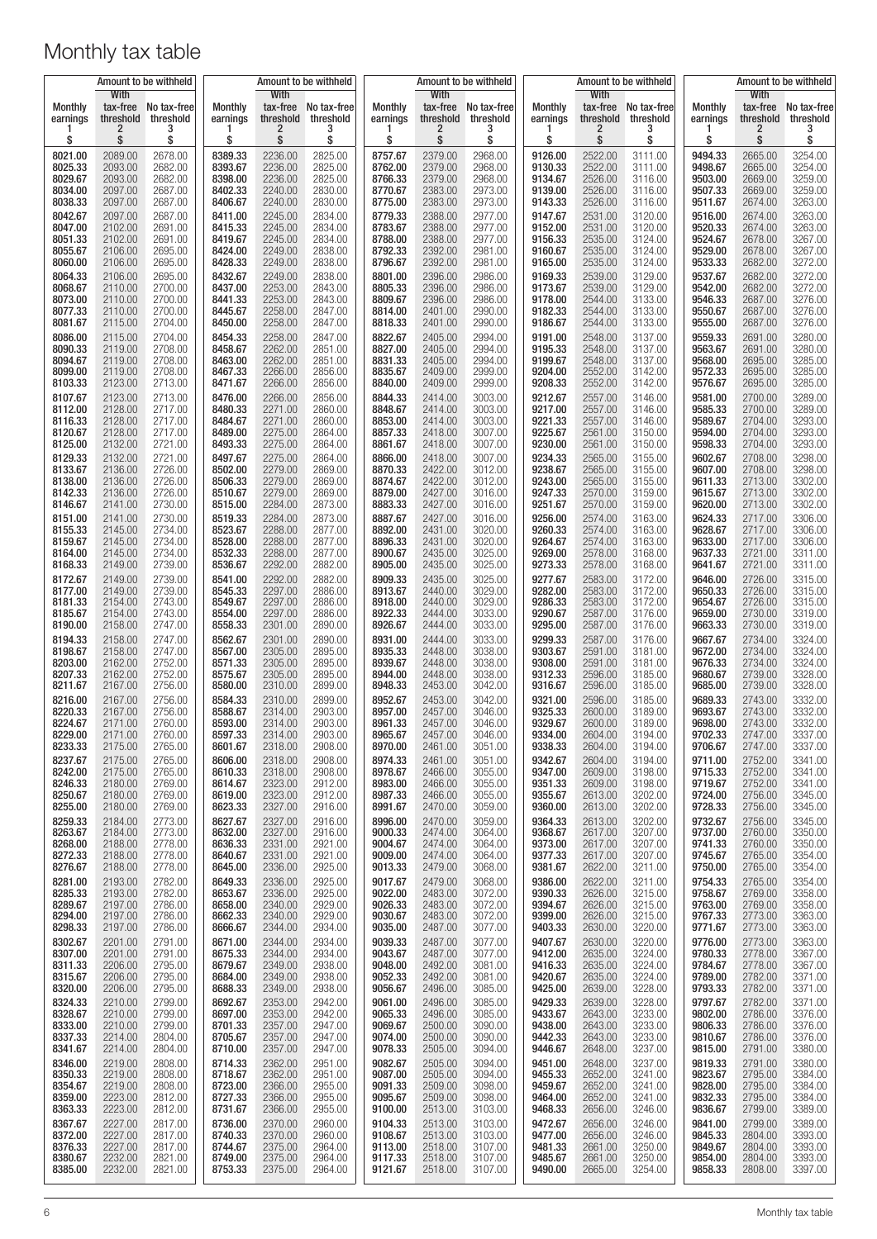|                                                     | Amount to be withheld                               |                                                     | Amount to be withheld                               |                                                     |                                                     | Amount to be withheld                               |                                                     |                                                     |                                                     |                                                     | Amount to be withheld                               | Amount to be withheld                               |                                                     |                                                     |
|-----------------------------------------------------|-----------------------------------------------------|-----------------------------------------------------|-----------------------------------------------------|-----------------------------------------------------|-----------------------------------------------------|-----------------------------------------------------|-----------------------------------------------------|-----------------------------------------------------|-----------------------------------------------------|-----------------------------------------------------|-----------------------------------------------------|-----------------------------------------------------|-----------------------------------------------------|-----------------------------------------------------|
| <b>Monthly</b><br>earnings<br>ı<br>\$               | <b>With</b><br>threshold<br>2<br>\$                 | tax-free No tax-free<br>threshold<br>3<br>\$        | Monthly<br>earnings<br>1<br>\$                      | With<br>tax-free<br>threshold<br>2<br>\$            | No tax-free<br>threshold<br>3<br>\$                 | Monthly<br>earnings<br>\$                           | <b>With</b><br>threshold<br>2<br>\$                 | tax-free No tax-free<br>threshold<br>3<br>\$        | Monthly<br>earnings<br>1<br>\$                      | With<br>tax-free<br>threshold<br>2<br>\$            | No tax-free<br>threshold<br>3<br>\$                 | Monthly<br>earnings<br>\$                           | <b>With</b><br>threshold<br>2<br>\$                 | tax-free No tax-free<br>threshold<br>3<br>\$        |
| 8021.00                                             | 2089.00                                             | 2678.00                                             | 8389.33                                             | 2236.00                                             | 2825.00                                             | 8757.67                                             | 2379.00                                             | 2968.00                                             | 9126.00                                             | 2522.00                                             | 3111.00                                             | 9494.33                                             | 2665.00                                             | 3254.00                                             |
| 8025.33                                             | 2093.00                                             | 2682.00                                             | 8393.67                                             | 2236.00                                             | 2825.00                                             | 8762.00                                             | 2379.00                                             | 2968.00                                             | 9130.33                                             | 2522.00                                             | 3111.00                                             | 9498.67                                             | 2665.00                                             | 3254.00                                             |
| 8029.67                                             | 2093.00                                             | 2682.00                                             | 8398.00                                             | 2236.00                                             | 2825.00                                             | 8766.33                                             | 2379.00                                             | 2968.00                                             | 9134.67                                             | 2526.00                                             | 3116.00                                             | 9503.00                                             | 2669.00                                             | 3259.00                                             |
| 8034.00                                             | 2097.00                                             | 2687.00                                             | 8402.33                                             | 2240.00                                             | 2830.00                                             | 8770.67                                             | 2383.00                                             | 2973.00                                             | 9139.00                                             | 2526.00                                             | 3116.00                                             | 9507.33                                             | 2669.00                                             | 3259.00                                             |
| 8038.33                                             | 2097.00                                             | 2687.00                                             | 8406.67                                             | 2240.00                                             | 2830.00                                             | 8775.00                                             | 2383.00                                             | 2973.00                                             | 9143.33                                             | 2526.00                                             | 3116.00                                             | 9511.67                                             | 2674.00                                             | 3263.00                                             |
| 8042.67                                             | 2097.00                                             | 2687.00                                             | 8411.00                                             | 2245.00                                             | 2834.00                                             | 8779.33                                             | 2388.00                                             | 2977.00                                             | 9147.67                                             | 2531.00                                             | 3120.00                                             | 9516.00                                             | 2674.00                                             | 3263.00                                             |
| 8047.00                                             | 2102.00                                             | 2691.00                                             | 8415.33                                             | 2245.00                                             | 2834.00                                             | 8783.67                                             | 2388.00                                             | 2977.00                                             | 9152.00                                             | 2531.00                                             | 3120.00                                             | 9520.33                                             | 2674.00                                             | 3263.00                                             |
| 8051.33                                             | 2102.00                                             | 2691.00                                             | 8419.67                                             | 2245.00                                             | 2834.00                                             | 8788.00                                             | 2388.00                                             | 2977.00                                             | 9156.33                                             | 2535.00                                             | 3124.00                                             | 9524.67                                             | 2678.00                                             | 3267.00                                             |
| 8055.67                                             | 2106.00                                             | 2695.00                                             | 8424.00                                             | 2249.00                                             | 2838.00                                             | 8792.33                                             | 2392.00                                             | 2981.00                                             | 9160.67                                             | 2535.00                                             | 3124.00                                             | 9529.00                                             | 2678.00                                             | 3267.00                                             |
| 8060.00                                             | 2106.00                                             | 2695.00                                             | 8428.33                                             | 2249.00                                             | 2838.00                                             | 8796.67                                             | 2392.00                                             | 2981.00                                             | 9165.00                                             | 2535.00                                             | 3124.00                                             | 9533.33                                             | 2682.00                                             | 3272.00                                             |
| 8064.33                                             | 2106.00                                             | 2695.00                                             | 8432.67                                             | 2249.00                                             | 2838.00                                             | 8801.00                                             | 2396.00                                             | 2986.00                                             | 9169.33                                             | 2539.00                                             | 3129.00                                             | 9537.67                                             | 2682.00                                             | 3272.00                                             |
| 8068.67                                             | 2110.00                                             | 2700.00                                             | 8437.00                                             | 2253.00                                             | 2843.00                                             | 8805.33                                             | 2396.00                                             | 2986.00                                             | 9173.67                                             | 2539.00                                             | 3129.00                                             | 9542.00                                             | 2682.00                                             | 3272.00                                             |
| 8073.00                                             | 2110.00                                             | 2700.00                                             | 8441.33                                             | 2253.00                                             | 2843.00                                             | 8809.67                                             | 2396.00                                             | 2986.00                                             | 9178.00                                             | 2544.00                                             | 3133.00                                             | 9546.33                                             | 2687.00                                             | 3276.00                                             |
| 8077.33                                             | 2110.00                                             | 2700.00                                             | 8445.67                                             | 2258.00                                             | 2847.00                                             | 8814.00                                             | 2401.00                                             | 2990.00                                             | 9182.33                                             | 2544.00                                             | 3133.00                                             | 9550.67                                             | 2687.00                                             | 3276.00                                             |
| 8081.67                                             | 2115.00                                             | 2704.00                                             | 8450.00                                             | 2258.00                                             | 2847.00                                             | 8818.33                                             | 2401.00                                             | 2990.00                                             | 9186.67                                             | 2544.00                                             | 3133.00                                             | 9555.00                                             | 2687.00                                             | 3276.00                                             |
| 8086.00                                             | 2115.00                                             | 2704.00                                             | 8454.33                                             | 2258.00                                             | 2847.00                                             | 8822.67                                             | 2405.00                                             | 2994.00                                             | 9191.00                                             | 2548.00                                             | 3137.00                                             | 9559.33                                             | 2691.00                                             | 3280.00                                             |
| 8090.33                                             | 2119.00                                             | 2708.00                                             | 8458.67                                             | 2262.00                                             | 2851.00                                             | 8827.00                                             | 2405.00                                             | 2994.00                                             | 9195.33                                             | 2548.00                                             | 3137.00                                             | 9563.67                                             | 2691.00                                             | 3280.00                                             |
| 8094.67                                             | 2119.00                                             | 2708.00                                             | 8463.00                                             | 2262.00                                             | 2851.00                                             | 8831.33                                             | 2405.00                                             | 2994.00                                             | 9199.67                                             | 2548.00                                             | 3137.00                                             | 9568.00                                             | 2695.00                                             | 3285.00                                             |
| 8099.00                                             | 2119.00                                             | 2708.00                                             | 8467.33                                             | 2266.00                                             | 2856.00                                             | 8835.67                                             | 2409.00                                             | 2999.00                                             | 9204.00                                             | 2552.00                                             | 3142.00                                             | 9572.33                                             | 2695.00                                             | 3285.00                                             |
| 8103.33                                             | 2123.00                                             | 2713.00                                             | 8471.67                                             | 2266.00                                             | 2856.00                                             | 8840.00                                             | 2409.00                                             | 2999.00                                             | 9208.33                                             | 2552.00                                             | 3142.00                                             | 9576.67                                             | 2695.00                                             | 3285.00                                             |
| 8107.67                                             | 2123.00                                             | 2713.00                                             | 8476.00                                             | 2266.00                                             | 2856.00                                             | 8844.33                                             | 2414.00                                             | 3003.00                                             | 9212.67                                             | 2557.00                                             | 3146.00                                             | 9581.00                                             | 2700.00                                             | 3289.00                                             |
| 8112.00<br>8116.33<br>8120.67<br>8125.00<br>8129.33 | 2128.00<br>2128.00<br>2128.00<br>2132.00<br>2132.00 | 2717.00<br>2717.00<br>2717.00<br>2721.00<br>2721.00 | 8480.33<br>8484.67<br>8489.00<br>8493.33<br>8497.67 | 2271.00<br>2271.00<br>2275.00<br>2275.00<br>2275.00 | 2860.00<br>2860.00<br>2864.00<br>2864.00            | 8848.67<br>8853.00<br>8857.33<br>8861.67            | 2414.00<br>2414.00<br>2418.00<br>2418.00<br>2418.00 | 3003.00<br>3003.00<br>3007.00<br>3007.00<br>3007.00 | 9217.00<br>9221.33<br>9225.67<br>9230.00<br>9234.33 | 2557.00<br>2557.00<br>2561.00<br>2561.00            | 3146.00<br>3146.00<br>3150.00<br>3150.00            | 9585.33<br>9589.67<br>9594.00<br>9598.33<br>9602.67 | 2700.00<br>2704.00<br>2704.00<br>2704.00<br>2708.00 | 3289.00<br>3293.00<br>3293.00<br>3293.00<br>3298.00 |
| 8133.67<br>8138.00<br>8142.33<br>8146.67            | 2136.00<br>2136.00<br>2136.00<br>2141.00            | 2726.00<br>2726.00<br>2726.00<br>2730.00            | 8502.00<br>8506.33<br>8510.67<br>8515.00            | 2279.00<br>2279.00<br>2279.00<br>2284.00            | 2864.00<br>2869.00<br>2869.00<br>2869.00<br>2873.00 | 8866.00<br>8870.33<br>8874.67<br>8879.00<br>8883.33 | 2422.00<br>2422.00<br>2427.00<br>2427.00            | 3012.00<br>3012.00<br>3016.00<br>3016.00            | 9238.67<br>9243.00<br>9247.33<br>9251.67            | 2565.00<br>2565.00<br>2565.00<br>2570.00<br>2570.00 | 3155.00<br>3155.00<br>3155.00<br>3159.00<br>3159.00 | 9607.00<br>9611.33<br>9615.67<br>9620.00            | 2708.00<br>2713.00<br>2713.00<br>2713.00            | 3298.00<br>3302.00<br>3302.00<br>3302.00            |
| 8151.00                                             | 2141.00                                             | 2730.00                                             | 8519.33                                             | 2284.00                                             | 2873.00                                             | 8887.67                                             | 2427.00                                             | 3016.00                                             | 9256.00                                             | 2574.00                                             | 3163.00                                             | 9624.33                                             | 2717.00                                             | 3306.00                                             |
| 8155.33                                             | 2145.00                                             | 2734.00                                             | 8523.67                                             | 2288.00                                             | 2877.00                                             | 8892.00                                             | 2431.00                                             | 3020.00                                             | 9260.33                                             | 2574.00                                             | 3163.00                                             | 9628.67                                             | 2717.00                                             | 3306.00                                             |
| 8159.67                                             | 2145.00                                             | 2734.00                                             | 8528.00                                             | 2288.00                                             | 2877.00                                             | 8896.33                                             | 2431.00                                             | 3020.00                                             | 9264.67                                             | 2574.00                                             | 3163.00                                             | 9633.00                                             | 2717.00                                             | 3306.00                                             |
| 8164.00                                             | 2145.00                                             | 2734.00                                             | 8532.33                                             | 2288.00                                             | 2877.00                                             | 8900.67                                             | 2435.00                                             | 3025.00                                             | 9269.00                                             | 2578.00                                             | 3168.00                                             | 9637.33                                             | 2721.00                                             | 3311.00                                             |
| 8168.33                                             | 2149.00                                             | 2739.00                                             | 8536.67                                             | 2292.00                                             | 2882.00                                             | 8905.00                                             | 2435.00                                             | 3025.00                                             | 9273.33                                             | 2578.00                                             | 3168.00                                             | 9641.67                                             | 2721.00                                             | 3311.00                                             |
| 8172.67                                             | 2149.00                                             | 2739.00                                             | 8541.00                                             | 2292.00                                             | 2882.00                                             | 8909.33                                             | 2435.00                                             | 3025.00                                             | 9277.67                                             | 2583.00                                             | 3172.00                                             | 9646.00                                             | 2726.00                                             | 3315.00                                             |
| 8177.00                                             | 2149.00                                             | 2739.00                                             | 8545.33                                             | 2297.00                                             | 2886.00                                             | 8913.67                                             | 2440.00                                             | 3029.00                                             | 9282.00                                             | 2583.00                                             | 3172.00                                             | 9650.33                                             | 2726.00                                             | 3315.00                                             |
| 8181.33                                             | 2154.00                                             | 2743.00                                             | 8549.67                                             | 2297.00                                             | 2886.00                                             | 8918.00                                             | 2440.00                                             | 3029.00                                             | 9286.33                                             | 2583.00                                             | 3172.00                                             | 9654.67                                             | 2726.00                                             | 3315.00                                             |
| 8185.67                                             | 2154.00                                             | 2743.00                                             | 8554.00                                             | 2297.00                                             | 2886.00                                             | 8922.33                                             | 2444.00                                             | 3033.00                                             | 9290.67                                             | 2587.00                                             | 3176.00                                             | 9659.00                                             | 2730.00                                             | 3319.00                                             |
| 8190.00                                             | 2158.00                                             | 2747.00                                             | 8558.33                                             | 2301.00                                             | 2890.00                                             | 8926.67                                             | 2444.00                                             | 3033.00                                             | 9295.00                                             | 2587.00                                             | 3176.00                                             | 9663.33                                             | 2730.00                                             | 3319.00                                             |
| 8194.33                                             | 2158.00                                             | 2747.00                                             | 8562.67                                             | 2301.00                                             | 2890.00                                             | 8931.00                                             | 2444.00                                             | 3033.00                                             | 9299.33                                             | 2587.00                                             | 3176.00                                             | 9667.67                                             | 2734.00                                             | 3324.00                                             |
| 8198.67                                             | 2158.00                                             | 2747.00                                             | 8567.00                                             | 2305.00                                             | 2895.00                                             | 8935.33                                             | 2448.00                                             | 3038.00                                             | 9303.67                                             | 2591.00                                             | 3181.00                                             | 9672.00                                             | 2734.00                                             | 3324.00                                             |
| 8203.00                                             | 2162.00                                             | 2752.00                                             | 8571.33                                             | 2305.00                                             | 2895.00                                             | 8939.67                                             | 2448.00                                             | 3038.00                                             | 9308.00                                             | 2591.00                                             | 3181.00                                             | 9676.33                                             | 2734.00                                             | 3324.00                                             |
| 8207.33                                             | 2162.00                                             | 2752.00                                             | 8575.67                                             | 2305.00                                             | 2895.00                                             | 8944.00                                             | 2448.00                                             | 3038.00                                             | 9312.33                                             | 2596.00                                             | 3185.00                                             | 9680.67                                             | 2739.00                                             | 3328.00                                             |
| 8211.67                                             | 2167.00                                             | 2756.00                                             | 8580.00                                             | 2310.00                                             | 2899.00                                             | 8948.33                                             | 2453.00                                             | 3042.00                                             | 9316.67                                             | 2596.00                                             | 3185.00                                             | 9685.00                                             | 2739.00                                             | 3328.00                                             |
| 8216.00                                             | 2167.00                                             | 2756.00                                             | 8584.33                                             | 2310.00                                             | 2899.00                                             | 8952.67                                             | 2453.00                                             | 3042.00                                             | 9321.00                                             | 2596.00                                             | 3185.00                                             | 9689.33                                             | 2743.00                                             | 3332.00                                             |
| 8220.33                                             | 2167.00                                             | 2756.00                                             | 8588.67                                             | 2314.00                                             | 2903.00                                             | 8957.00                                             | 2457.00                                             | 3046.00                                             | 9325.33                                             | 2600.00                                             | 3189.00                                             | 9693.67                                             | 2743.00                                             | 3332.00                                             |
| 8224.67<br>8229.00<br>8233.33<br>8237.67            | 2171.00<br>2171.00<br>2175.00<br>2175.00            | 2760.00<br>2760.00<br>2765.00<br>2765.00            | 8593.00<br>8597.33<br>8601.67<br>8606.00            | 2314.00<br>2314.00<br>2318.00<br>2318.00            | 2903.00<br>2903.00<br>2908.00<br>2908.00            | 8961.33<br>8965.67<br>8970.00<br>8974.33            | 2457.00<br>2457.00<br>2461.00<br>2461.00            | 3046.00<br>3046.00<br>3051.00<br>3051.00            | 9329.67<br>9334.00<br>9338.33<br>9342.67<br>9347.00 | 2600.00<br>2604.00<br>2604.00<br>2604.00<br>2609.00 | 3189.00<br>3194.00<br>3194.00<br>3194.00            | 9698.00<br>9702.33<br>9706.67<br>9711.00            | 2743.00<br>2747.00<br>2747.00<br>2752.00<br>2752.00 | 3332.00<br>3337.00<br>3337.00<br>3341.00            |
| 8242.00<br>8246.33<br>8250.67<br>8255.00<br>8259.33 | 2175.00<br>2180.00<br>2180.00<br>2180.00<br>2184.00 | 2765.00<br>2769.00<br>2769.00<br>2769.00<br>2773.00 | 8610.33<br>8614.67<br>8619.00<br>8623.33<br>8627.67 | 2318.00<br>2323.00<br>2323.00<br>2327.00<br>2327.00 | 2908.00<br>2912.00<br>2912.00<br>2916.00<br>2916.00 | 8978.67<br>8983.00<br>8987.33<br>8991.67<br>8996.00 | 2466.00<br>2466.00<br>2466.00<br>2470.00<br>2470.00 | 3055.00<br>3055.00<br>3055.00<br>3059.00<br>3059.00 | 9351.33<br>9355.67<br>9360.00<br>9364.33            | 2609.00<br>2613.00<br>2613.00<br>2613.00            | 3198.00<br>3198.00<br>3202.00<br>3202.00<br>3202.00 | 9715.33<br>9719.67<br>9724.00<br>9728.33<br>9732.67 | 2752.00<br>2756.00<br>2756.00<br>2756.00            | 3341.00<br>3341.00<br>3345.00<br>3345.00<br>3345.00 |
| 8263.67                                             | 2184.00                                             | 2773.00                                             | 8632.00                                             | 2327.00                                             | 2916.00                                             | 9000.33                                             | 2474.00                                             | 3064.00                                             | 9368.67                                             | 2617.00                                             | 3207.00                                             | 9737.00                                             | 2760.00                                             | 3350.00                                             |
| 8268.00                                             | 2188.00                                             | 2778.00                                             | 8636.33                                             | 2331.00                                             | 2921.00                                             | 9004.67                                             | 2474.00                                             | 3064.00                                             | 9373.00                                             | 2617.00                                             | 3207.00                                             | 9741.33                                             | 2760.00                                             | 3350.00                                             |
| 8272.33                                             | 2188.00                                             | 2778.00                                             | 8640.67                                             | 2331.00                                             | 2921.00                                             | 9009.00                                             | 2474.00                                             | 3064.00                                             | 9377.33                                             | 2617.00                                             | 3207.00                                             | 9745.67                                             | 2765.00                                             | 3354.00                                             |
| 8276.67                                             | 2188.00                                             | 2778.00                                             | 8645.00                                             | 2336.00                                             | 2925.00                                             | 9013.33                                             | 2479.00                                             | 3068.00                                             | 9381.67                                             | 2622.00                                             | 3211.00                                             | 9750.00                                             | 2765.00                                             | 3354.00                                             |
| 8281.00                                             | 2193.00                                             | 2782.00                                             | 8649.33                                             | 2336.00                                             | 2925.00                                             | 9017.67                                             | 2479.00                                             | 3068.00                                             | 9386.00                                             | 2622.00                                             | 3211.00                                             | 9754.33                                             | 2765.00                                             | 3354.00                                             |
| 8285.33                                             | 2193.00                                             | 2782.00                                             | 8653.67                                             | 2336.00                                             | 2925.00                                             | 9022.00                                             | 2483.00                                             | 3072.00                                             | 9390.33                                             | 2626.00                                             | 3215.00                                             | 9758.67                                             | 2769.00                                             | 3358.00                                             |
| 8289.67                                             | 2197.00                                             | 2786.00                                             | 8658.00                                             | 2340.00                                             | 2929.00                                             | 9026.33                                             | 2483.00                                             | 3072.00                                             | 9394.67                                             | 2626.00                                             | 3215.00                                             | 9763.00                                             | 2769.00                                             | 3358.00                                             |
| 8294.00                                             | 2197.00                                             | 2786.00                                             | 8662.33                                             | 2340.00                                             | 2929.00                                             | 9030.67                                             | 2483.00                                             | 3072.00                                             | 9399.00                                             | 2626.00                                             | 3215.00                                             | 9767.33                                             | 2773.00                                             | 3363.00                                             |
| 8298.33                                             | 2197.00                                             | 2786.00                                             | 8666.67                                             | 2344.00                                             | 2934.00                                             | 9035.00                                             | 2487.00                                             | 3077.00                                             | 9403.33                                             | 2630.00                                             | 3220.00                                             | 9771.67                                             | 2773.00                                             | 3363.00                                             |
| 8302.67                                             | 2201.00                                             | 2791.00                                             | 8671.00                                             | 2344.00                                             | 2934.00                                             | 9039.33                                             | 2487.00                                             | 3077.00                                             | 9407.67                                             | 2630.00                                             | 3220.00                                             | 9776.00                                             | 2773.00                                             | 3363.00                                             |
| 8307.00                                             | 2201.00                                             | 2791.00                                             | 8675.33                                             | 2344.00                                             | 2934.00                                             | 9043.67                                             | 2487.00                                             | 3077.00                                             | 9412.00                                             | 2635.00                                             | 3224.00                                             | 9780.33                                             | 2778.00                                             | 3367.00                                             |
| 8311.33                                             | 2206.00                                             | 2795.00                                             | 8679.67                                             | 2349.00                                             | 2938.00                                             | 9048.00                                             | 2492.00                                             | 3081.00                                             | 9416.33                                             | 2635.00                                             | 3224.00                                             | 9784.67                                             | 2778.00                                             | 3367.00                                             |
| 8315.67                                             | 2206.00                                             | 2795.00                                             | 8684.00                                             | 2349.00                                             | 2938.00                                             | 9052.33                                             | 2492.00                                             | 3081.00                                             | 9420.67                                             | 2635.00                                             | 3224.00                                             | 9789.00                                             | 2782.00                                             | 3371.00                                             |
| 8320.00                                             | 2206.00                                             | 2795.00                                             | 8688.33                                             | 2349.00                                             | 2938.00                                             | 9056.67                                             | 2496.00                                             | 3085.00                                             | 9425.00                                             | 2639.00                                             | 3228.00                                             | 9793.33                                             | 2782.00                                             | 3371.00                                             |
| 8324.33                                             | 2210.00                                             | 2799.00                                             | 8692.67                                             | 2353.00                                             | 2942.00                                             | 9061.00                                             | 2496.00                                             | 3085.00                                             | 9429.33                                             | 2639.00                                             | 3228.00                                             | 9797.67                                             | 2782.00                                             | 3371.00                                             |
| 8328.67                                             | 2210.00                                             | 2799.00                                             | 8697.00                                             | 2353.00                                             | 2942.00                                             | 9065.33                                             | 2496.00                                             | 3085.00                                             | 9433.67                                             | 2643.00                                             | 3233.00                                             | 9802.00                                             | 2786.00                                             | 3376.00                                             |
| 8333.00                                             | 2210.00                                             | 2799.00                                             | 8701.33                                             | 2357.00                                             | 2947.00                                             | 9069.67                                             | 2500.00                                             | 3090.00                                             | 9438.00                                             | 2643.00                                             | 3233.00                                             | 9806.33                                             | 2786.00                                             | 3376.00                                             |
| 8337.33                                             | 2214.00                                             | 2804.00                                             | 8705.67                                             | 2357.00                                             | 2947.00                                             | 9074.00                                             | 2500.00                                             | 3090.00                                             | 9442.33                                             | 2643.00                                             | 3233.00                                             | 9810.67                                             | 2786.00                                             | 3376.00                                             |
| 8341.67                                             | 2214.00                                             | 2804.00                                             | 8710.00                                             | 2357.00                                             | 2947.00                                             | 9078.33                                             | 2505.00                                             | 3094.00                                             | 9446.67                                             | 2648.00                                             | 3237.00                                             | 9815.00                                             | 2791.00                                             | 3380.00                                             |
| 8346.00                                             | 2219.00                                             | 2808.00                                             | 8714.33                                             | 2362.00                                             | 2951.00                                             | 9082.67                                             | 2505.00                                             | 3094.00                                             | 9451.00                                             | 2648.00                                             | 3237.00                                             | 9819.33                                             | 2791.00                                             | 3380.00                                             |
| 8350.33                                             | 2219.00                                             | 2808.00                                             | 8718.67                                             | 2362.00                                             | 2951.00                                             | 9087.00                                             | 2505.00                                             | 3094.00                                             | 9455.33                                             | 2652.00                                             | 3241.00                                             | 9823.67                                             | 2795.00                                             | 3384.00                                             |
| 8354.67                                             | 2219.00                                             | 2808.00                                             | 8723.00                                             | 2366.00                                             | 2955.00                                             | 9091.33                                             | 2509.00                                             | 3098.00                                             | 9459.67                                             | 2652.00                                             | 3241.00                                             | 9828.00                                             | 2795.00                                             | 3384.00                                             |
| 8359.00                                             | 2223.00                                             | 2812.00                                             | 8727.33                                             | 2366.00                                             | 2955.00                                             | 9095.67                                             | 2509.00                                             | 3098.00                                             | 9464.00                                             | 2652.00                                             | 3241.00                                             | 9832.33                                             | 2795.00                                             | 3384.00                                             |
| 8363.33                                             | 2223.00                                             | 2812.00                                             | 8731.67                                             | 2366.00                                             | 2955.00                                             | 9100.00                                             | 2513.00                                             | 3103.00                                             | 9468.33                                             | 2656.00                                             | 3246.00                                             | 9836.67                                             | 2799.00                                             | 3389.00                                             |
| 8367.67                                             | 2227.00                                             | 2817.00                                             | 8736.00                                             | 2370.00                                             | 2960.00                                             | 9104.33                                             | 2513.00                                             | 3103.00                                             | 9472.67                                             | 2656.00                                             | 3246.00                                             | 9841.00                                             | 2799.00                                             | 3389.00                                             |
| 8372.00                                             | 2227.00                                             | 2817.00                                             | 8740.33                                             | 2370.00                                             | 2960.00                                             | 9108.67                                             | 2513.00                                             | 3103.00                                             | 9477.00                                             | 2656.00                                             | 3246.00                                             | 9845.33                                             | 2804.00                                             | 3393.00                                             |
| 8376.33                                             | 2227.00                                             | 2817.00                                             | 8744.67                                             | 2375.00                                             | 2964.00                                             | 9113.00                                             | 2518.00                                             | 3107.00                                             | 9481.33                                             | 2661.00                                             | 3250.00                                             | 9849.67                                             | 2804.00                                             | 3393.00                                             |
| 8380.67                                             | 2232.00                                             | 2821.00                                             | 8749.00                                             | 2375.00                                             | 2964.00                                             | 9117.33                                             | 2518.00                                             | 3107.00                                             | 9485.67                                             | 2661.00                                             | 3250.00                                             | 9854.00                                             | 2804.00                                             | 3393.00                                             |
| 8385.00                                             | 2232.00                                             | 2821.00                                             | 8753.33                                             | 2375.00                                             | 2964.00                                             | 9121.67                                             | 2518.00                                             | 3107.00                                             | 9490.00                                             | 2665.00                                             | 3254.00                                             | 9858.33                                             | 2808.00                                             | 3397.00                                             |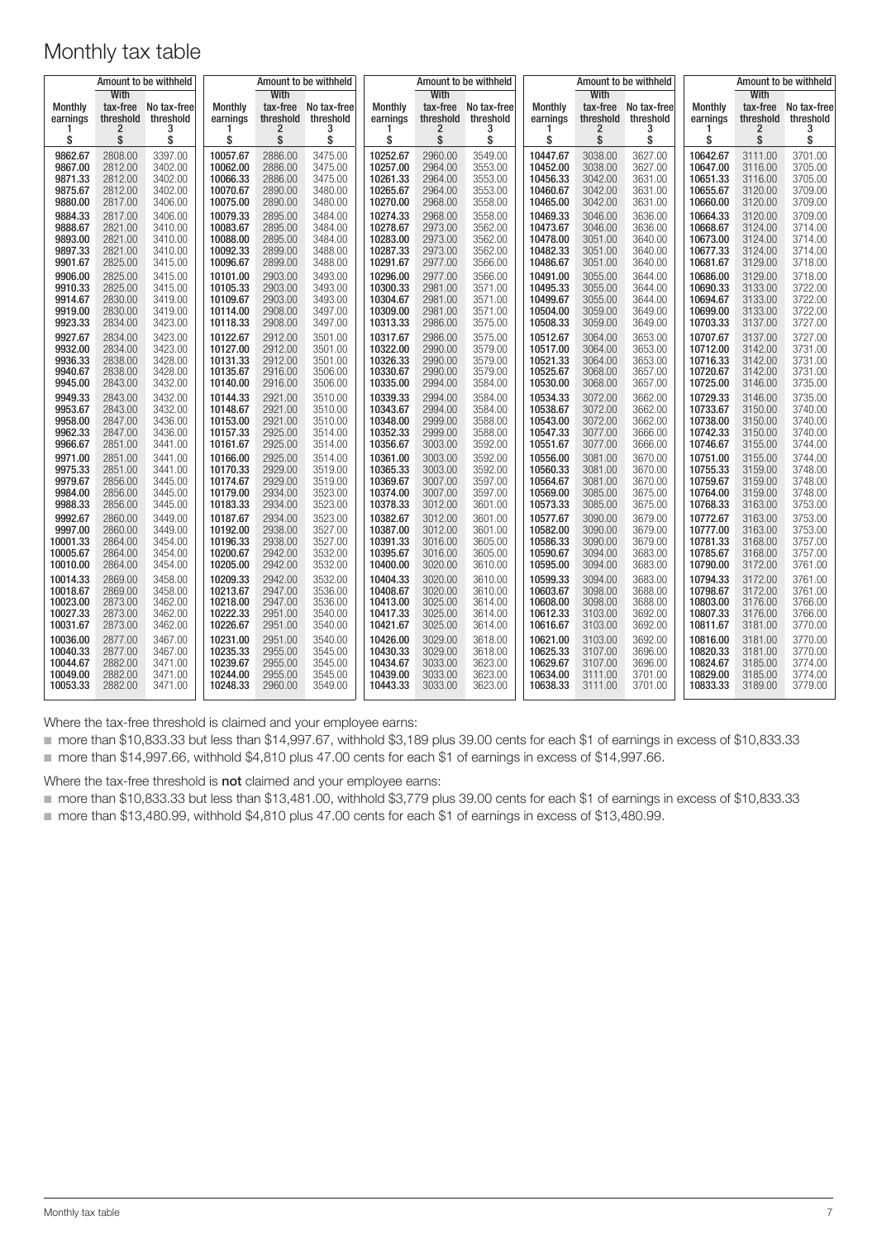| Amount to be withheld |                  |             | Amount to be withheld |                  |             |          | Amount to be withheld |             |                |                  | Amount to be withheld | Amount to be withheld |                                                        |             |
|-----------------------|------------------|-------------|-----------------------|------------------|-------------|----------|-----------------------|-------------|----------------|------------------|-----------------------|-----------------------|--------------------------------------------------------|-------------|
| <b>Monthly</b>        | With<br>tax-free | No tax-free | Monthly               | With<br>tax-free | No tax-free | Monthly  | With<br>tax-free      | No tax-free | <b>Monthly</b> | With<br>tax-free | No tax-free           | Monthly               | <b>With</b><br>tax-free                                | No tax-free |
| earnings              | threshold        | threshold   | earnings              | threshold        | threshold   | earnings | threshold             | threshold   | earnings       | threshold        | threshold             | earnings              | $\begin{array}{c}\n\text{threshold} \\ 2\n\end{array}$ | threshold   |
| \$                    | 2<br>\$          | 3<br>\$     | 1<br>\$               | 2<br>\$          | 3<br>\$     | \$       | 2<br>\$               | 3<br>\$     | 1<br>\$        | 2<br>\$          | 3<br>\$               | 1<br>\$               | \$                                                     | \$          |
| 9862.67               | 2808.00          | 3397.00     | 10057.67              | 2886.00          | 3475.00     | 10252.67 | 2960.00               | 3549.00     | 10447.67       | 3038.00          | 3627.00               | 10642.67              | 3111.00                                                | 3701.00     |
| 9867.00               | 2812.00          | 3402.00     | 10062.00              | 2886.00          | 3475.00     | 10257.00 | 2964.00               | 3553.00     | 10452.00       | 3038.00          | 3627.00               | 10647.00              | 3116.00                                                | 3705.00     |
| 9871.33               | 2812.00          | 3402.00     | 10066.33              | 2886.00          | 3475.00     | 10261.33 | 2964.00               | 3553.00     | 10456.33       | 3042.00          | 3631.00               | 10651.33              | 3116.00                                                | 3705.00     |
| 9875.67               | 2812.00          | 3402.00     | 10070.67              | 2890.00          | 3480.00     | 10265.67 | 2964.00               | 3553.00     | 10460.67       | 3042.00          | 3631.00               | 10655.67              | 3120.00                                                | 3709.00     |
| 9880.00               | 2817.00          | 3406.00     | 10075.00              | 2890.00          | 3480.00     | 10270.00 | 2968.00               | 3558.00     | 10465.00       | 3042.00          | 3631.00               | 10660.00              | 3120.00                                                | 3709.00     |
| 9884.33               | 2817.00          | 3406.00     | 10079.33              | 2895.00          | 3484.00     | 10274.33 | 2968.00               | 3558.00     | 10469.33       | 3046.00          | 3636.00               | 10664.33              | 3120.00                                                | 3709.00     |
| 9888.67               | 2821.00          | 3410.00     | 10083.67              | 2895.00          | 3484.00     | 10278.67 | 2973.00               | 3562.00     | 10473.67       | 3046.00          | 3636.00               | 10668.67              | 3124.00                                                | 3714.00     |
| 9893.00               | 2821.00          | 3410.00     | 10088.00              | 2895.00          | 3484.00     | 10283.00 | 2973.00               | 3562.00     | 10478.00       | 3051.00          | 3640.00               | 10673.00              | 3124.00                                                | 3714.00     |
| 9897.33               | 2821.00          | 3410.00     | 10092.33              | 2899.00          | 3488.00     | 10287.33 | 2973.00               | 3562.00     | 10482.33       | 3051.00          | 3640.00               | 10677.33              | 3124.00                                                | 3714.00     |
| 9901.67               | 2825.00          | 3415.00     | 10096.67              | 2899.00          | 3488.00     | 10291.67 | 2977.00               | 3566.00     | 10486.67       | 3051.00          | 3640.00               | 10681.67              | 3129.00                                                | 3718.00     |
| 9906.00               | 2825.00          | 3415.00     | 10101.00              | 2903.00          | 3493.00     | 10296.00 | 2977.00               | 3566.00     | 10491.00       | 3055.00          | 3644.00               | 10686.00              | 3129.00                                                | 3718.00     |
| 9910.33               | 2825.00          | 3415.00     | 10105.33              | 2903.00          | 3493.00     | 10300.33 | 2981.00               | 3571.00     | 10495.33       | 3055.00          | 3644.00               | 10690.33              | 3133.00                                                | 3722.00     |
| 9914.67               | 2830.00          | 3419.00     | 10109.67              | 2903.00          | 3493.00     | 10304.67 | 2981.00               | 3571.00     | 10499.67       | 3055.00          | 3644.00               | 10694.67              | 3133.00                                                | 3722.00     |
| 9919.00               | 2830.00          | 3419.00     | 10114.00              | 2908.00          | 3497.00     | 10309.00 | 2981.00               | 3571.00     | 10504.00       | 3059.00          | 3649.00               | 10699.00              | 3133.00                                                | 3722.00     |
| 9923.33               | 2834.00          | 3423.00     | 10118.33              | 2908.00          | 3497.00     | 10313.33 | 2986.00               | 3575.00     | 10508.33       | 3059.00          | 3649.00               | 10703.33              | 3137.00                                                | 3727.00     |
| 9927.67               | 2834.00          | 3423.00     | 10122.67              | 2912.00          | 3501.00     | 10317.67 | 2986.00               | 3575.00     | 10512.67       | 3064.00          | 3653.00               | 10707.67              | 3137.00                                                | 3727.00     |
| 9932.00               | 2834.00          | 3423.00     | 10127.00              | 2912.00          | 3501.00     | 10322.00 | 2990.00               | 3579.00     | 10517.00       | 3064.00          | 3653.00               | 10712.00              | 3142.00                                                | 3731.00     |
| 9936.33               | 2838.00          | 3428.00     | 10131.33              | 2912.00          | 3501.00     | 10326.33 | 2990.00               | 3579.00     | 10521.33       | 3064.00          | 3653.00               | 10716.33              | 3142.00                                                | 3731.00     |
| 9940.67               | 2838.00          | 3428.00     | 10135.67              | 2916.00          | 3506.00     | 10330.67 | 2990.00               | 3579.00     | 10525.67       | 3068.00          | 3657.00               | 10720.67              | 3142.00                                                | 3731.00     |
| 9945.00               | 2843.00          | 3432.00     | 10140.00              | 2916.00          | 3506.00     | 10335.00 | 2994.00               | 3584.00     | 10530.00       | 3068.00          | 3657.00               | 10725.00              | 3146.00                                                | 3735.00     |
| 9949.33               | 2843.00          | 3432.00     | 10144.33              | 2921.00          | 3510.00     | 10339.33 | 2994.00               | 3584.00     | 10534.33       | 3072.00          | 3662.00               | 10729.33              | 3146.00                                                | 3735.00     |
| 9953.67               | 2843.00          | 3432.00     | 10148.67              | 2921.00          | 3510.00     | 10343.67 | 2994.00               | 3584.00     | 10538.67       | 3072.00          | 3662.00               | 10733.67              | 3150.00                                                | 3740.00     |
| 9958.00               | 2847.00          | 3436.00     | 10153.00              | 2921.00          | 3510.00     | 10348.00 | 2999.00               | 3588.00     | 10543.00       | 3072.00          | 3662.00               | 10738.00              | 3150.00                                                | 3740.00     |
| 9962.33               | 2847.00          | 3436.00     | 10157.33              | 2925.00          | 3514.00     | 10352.33 | 2999.00               | 3588.00     | 10547.33       | 3077.00          | 3666.00               | 10742.33              | 3150.00                                                | 3740.00     |
| 9966.67               | 2851.00          | 3441.00     | 10161.67              | 2925.00          | 3514.00     | 10356.67 | 3003.00               | 3592.00     | 10551.67       | 3077.00          | 3666.00               | 10746.67              | 3155.00                                                | 3744.00     |
| 9971.00               | 2851.00          | 3441.00     | 10166.00              | 2925.00          | 3514.00     | 10361.00 | 3003.00               | 3592.00     | 10556.00       | 3081.00          | 3670.00               | 10751.00              | 3155.00                                                | 3744.00     |
| 9975.33               | 2851.00          | 3441.00     | 10170.33              | 2929.00          | 3519.00     | 10365.33 | 3003.00               | 3592.00     | 10560.33       | 3081.00          | 3670.00               | 10755.33              | 3159.00                                                | 3748.00     |
| 9979.67               | 2856.00          | 3445.00     | 10174.67              | 2929.00          | 3519.00     | 10369.67 | 3007.00               | 3597.00     | 10564.67       | 3081.00          | 3670.00               | 10759.67              | 3159.00                                                | 3748.00     |
| 9984.00               | 2856.00          | 3445.00     | 10179.00              | 2934.00          | 3523.00     | 10374.00 | 3007.00               | 3597.00     | 10569.00       | 3085.00          | 3675.00               | 10764.00              | 3159.00                                                | 3748.00     |
| 9988.33               | 2856.00          | 3445.00     | 10183.33              | 2934.00          | 3523.00     | 10378.33 | 3012.00               | 3601.00     | 10573.33       | 3085.00          | 3675.00               | 10768.33              | 3163.00                                                | 3753.00     |
| 9992.67               | 2860.00          | 3449.00     | 10187.67              | 2934.00          | 3523.00     | 10382.67 | 3012.00               | 3601.00     | 10577.67       | 3090.00          | 3679.00               | 10772.67              | 3163.00                                                | 3753.00     |
| 9997.00               | 2860.00          | 3449.00     | 10192.00              | 2938.00          | 3527.00     | 10387.00 | 3012.00               | 3601.00     | 10582.00       | 3090.00          | 3679.00               | 10777.00              | 3163.00                                                | 3753.00     |
| 10001.33              | 2864.00          | 3454.00     | 10196.33              | 2938.00          | 3527.00     | 10391.33 | 3016.00               | 3605.00     | 10586.33       | 3090.00          | 3679.00               | 10781.33              | 3168.00                                                | 3757.00     |
| 10005.67              | 2864.00          | 3454.00     | 10200.67              | 2942.00          | 3532.00     | 10395.67 | 3016.00               | 3605.00     | 10590.67       | 3094.00          | 3683.00               | 10785.67              | 3168.00                                                | 3757.00     |
| 10010.00              | 2864.00          | 3454.00     | 10205.00              | 2942.00          | 3532.00     | 10400.00 | 3020.00               | 3610.00     | 10595.00       | 3094.00          | 3683.00               | 10790.00              | 3172.00                                                | 3761.00     |
| 10014.33              | 2869.00          | 3458.00     | 10209.33              | 2942.00          | 3532.00     | 10404.33 | 3020.00               | 3610.00     | 10599.33       | 3094.00          | 3683.00               | 10794.33              | 3172.00                                                | 3761.00     |
| 10018.67              | 2869.00          | 3458.00     | 10213.67              | 2947.00          | 3536.00     | 10408.67 | 3020.00               | 3610.00     | 10603.67       | 3098.00          | 3688.00               | 10798.67              | 3172.00                                                | 3761.00     |
| 10023.00              | 2873.00          | 3462.00     | 10218.00              | 2947.00          | 3536.00     | 10413.00 | 3025.00               | 3614.00     | 10608.00       | 3098.00          | 3688.00               | 10803.00              | 3176.00                                                | 3766.00     |
| 10027.33              | 2873.00          | 3462.00     | 10222.33              | 2951.00          | 3540.00     | 10417.33 | 3025.00               | 3614.00     | 10612.33       | 3103.00          | 3692.00               | 10807.33              | 3176.00                                                | 3766.00     |
| 10031.67              | 2873.00          | 3462.00     | 10226.67              | 2951.00          | 3540.00     | 10421.67 | 3025.00               | 3614.00     | 10616.67       | 3103.00          | 3692.00               | 10811.67              | 3181.00                                                | 3770.00     |
| 10036.00              | 2877.00          | 3467.00     | 10231.00              | 2951.00          | 3540.00     | 10426.00 | 3029.00               | 3618.00     | 10621.00       | 3103.00          | 3692.00               | 10816.00              | 3181.00                                                | 3770.00     |
| 10040.33              | 2877.00          | 3467.00     | 10235.33              | 2955.00          | 3545.00     | 10430.33 | 3029.00               | 3618.00     | 10625.33       | 3107.00          | 3696.00               | 10820.33              | 3181.00                                                | 3770.00     |
| 10044.67              | 2882.00          | 3471.00     | 10239.67              | 2955.00          | 3545.00     | 10434.67 | 3033.00               | 3623.00     | 10629.67       | 3107.00          | 3696.00               | 10824.67              | 3185.00                                                | 3774.00     |
| 10049.00              | 2882.00          | 3471.00     | 10244.00              | 2955.00          | 3545.00     | 10439.00 | 3033.00               | 3623.00     | 10634.00       | 3111.00          | 3701.00               | 10829.00              | 3185.00                                                | 3774.00     |
| 10053.33              | 2882.00          | 3471.00     | 10248.33              | 2960.00          | 3549.00     | 10443.33 | 3033.00               | 3623.00     | 10638.33       | 3111.00          | 3701.00               | 10833.33              | 3189.00                                                | 3779.00     |

Where the tax-free threshold is claimed and your employee earns:

■ more than \$10,833.33 but less than \$14,997.67, withhold \$3,189 plus 39.00 cents for each \$1 of earnings in excess of \$10,833.33 ■ more than \$14,997.66, withhold \$4,810 plus 47.00 cents for each \$1 of earnings in excess of \$14,997.66.

Where the tax-free threshold is **not** claimed and your employee earns:

■ more than \$10,833.33 but less than \$13,481.00, withhold \$3,779 plus 39.00 cents for each \$1 of earnings in excess of \$10,833.33

■ more than \$13,480.99, withhold \$4,810 plus 47.00 cents for each \$1 of earnings in excess of \$13,480.99.